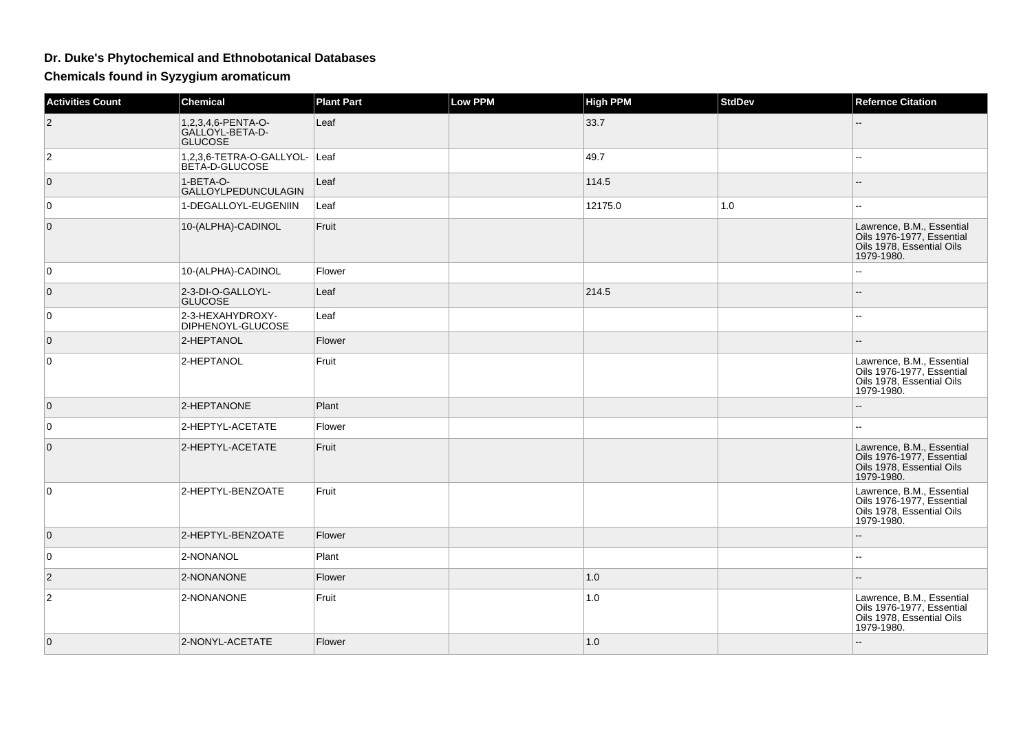## **Dr. Duke's Phytochemical and Ethnobotanical Databases**

**Chemicals found in Syzygium aromaticum**

| <b>Activities Count</b> | <b>Chemical</b>                                         | <b>Plant Part</b> | <b>Low PPM</b> | <b>High PPM</b> | StdDev | <b>Refernce Citation</b>                                                                          |
|-------------------------|---------------------------------------------------------|-------------------|----------------|-----------------|--------|---------------------------------------------------------------------------------------------------|
| $\overline{2}$          | 1,2,3,4,6-PENTA-O-<br>GALLOYL-BETA-D-<br><b>GLUCOSE</b> | Leaf              |                | 33.7            |        |                                                                                                   |
| 2                       | 1,2,3,6-TETRA-O-GALLYOL- Leaf<br>BETA-D-GLUCOSE         |                   |                | 49.7            |        | $\sim$ $\sim$                                                                                     |
| $\overline{0}$          | 1-BETA-O-<br>GALLOYLPEDUNCULAGIN                        | Leaf              |                | 114.5           |        |                                                                                                   |
| $\overline{0}$          | 1-DEGALLOYL-EUGENIIN                                    | Leaf              |                | 12175.0         | 1.0    | $\sim$                                                                                            |
| $\mathbf{0}$            | 10-(ALPHA)-CADINOL                                      | Fruit             |                |                 |        | Lawrence, B.M., Essential<br>Oils 1976-1977, Essential<br>Oils 1978, Essential Oils<br>1979-1980. |
| $\overline{0}$          | 10-(ALPHA)-CADINOL                                      | Flower            |                |                 |        |                                                                                                   |
| $\overline{0}$          | 2-3-DI-O-GALLOYL-<br><b>GLUCOSE</b>                     | Leaf              |                | 214.5           |        | $\qquad \qquad -$                                                                                 |
| 0                       | 2-3-HEXAHYDROXY-<br>DIPHENOYL-GLUCOSE                   | Leaf              |                |                 |        | $\sim$ $\sim$                                                                                     |
| $\overline{0}$          | 2-HEPTANOL                                              | Flower            |                |                 |        |                                                                                                   |
| $\mathbf 0$             | 2-HEPTANOL                                              | Fruit             |                |                 |        | Lawrence, B.M., Essential<br>Oils 1976-1977, Essential<br>Oils 1978, Essential Oils<br>1979-1980. |
| $\overline{0}$          | 2-HEPTANONE                                             | Plant             |                |                 |        |                                                                                                   |
| $\overline{0}$          | 2-HEPTYL-ACETATE                                        | Flower            |                |                 |        | --                                                                                                |
| $\overline{0}$          | 2-HEPTYL-ACETATE                                        | Fruit             |                |                 |        | Lawrence, B.M., Essential<br>Oils 1976-1977, Essential<br>Oils 1978, Essential Oils<br>1979-1980. |
| $\overline{0}$          | 2-HEPTYL-BENZOATE                                       | Fruit             |                |                 |        | Lawrence, B.M., Essential<br>Oils 1976-1977, Essential<br>Oils 1978, Essential Oils<br>1979-1980. |
| $\overline{0}$          | 2-HEPTYL-BENZOATE                                       | Flower            |                |                 |        | $-$                                                                                               |
| $\overline{0}$          | 2-NONANOL                                               | Plant             |                |                 |        | $\mathbf{u}$                                                                                      |
| $\overline{2}$          | 2-NONANONE                                              | Flower            |                | 1.0             |        | $\sim$                                                                                            |
| $\overline{\mathbf{c}}$ | 2-NONANONE                                              | Fruit             |                | 1.0             |        | Lawrence, B.M., Essential<br>Oils 1976-1977, Essential<br>Oils 1978, Essential Oils<br>1979-1980. |
| $\overline{0}$          | 2-NONYL-ACETATE                                         | Flower            |                | 1.0             |        | $- -$                                                                                             |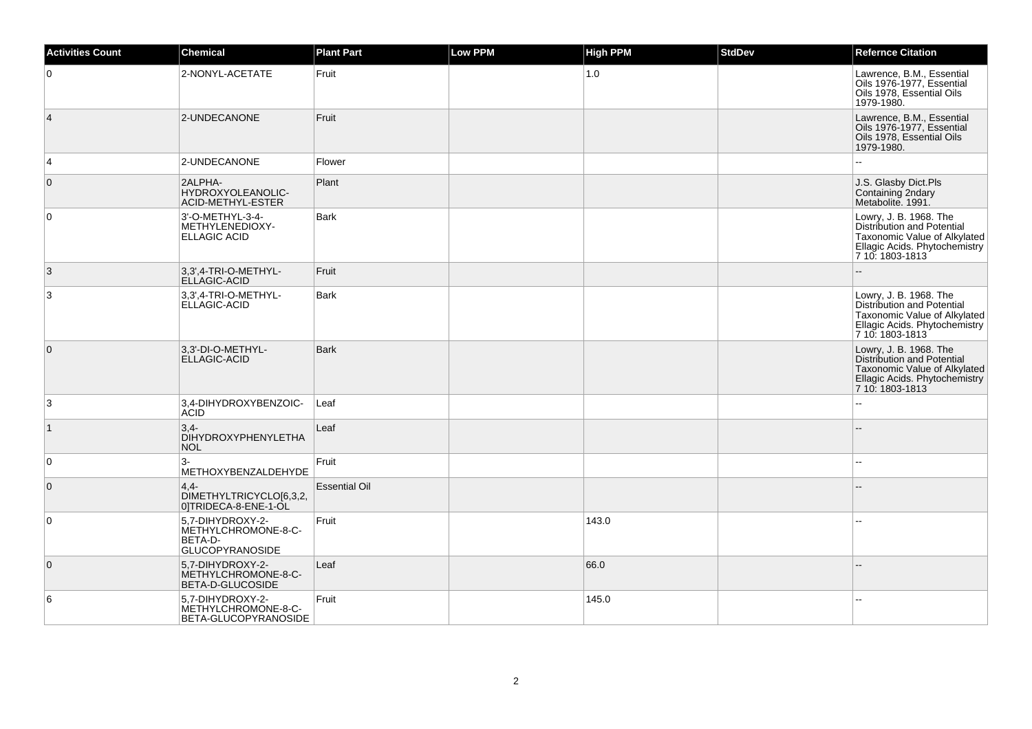| <b>Activities Count</b> | <b>Chemical</b>                                                              | <b>Plant Part</b>    | Low PPM | <b>High PPM</b> | <b>StdDev</b> | <b>Refernce Citation</b>                                                                                                                 |
|-------------------------|------------------------------------------------------------------------------|----------------------|---------|-----------------|---------------|------------------------------------------------------------------------------------------------------------------------------------------|
| $\overline{0}$          | 2-NONYL-ACETATE                                                              | Fruit                |         | 1.0             |               | Lawrence, B.M., Essential<br>Oils 1976-1977, Essential<br>Oils 1978, Essential Oils<br>1979-1980.                                        |
| $\vert$ 4               | 2-UNDECANONE                                                                 | Fruit                |         |                 |               | Lawrence, B.M., Essential<br>Oils 1976-1977, Essential<br>Oils 1978, Essential Oils<br>1979-1980.                                        |
| $\overline{4}$          | 2-UNDECANONE                                                                 | Flower               |         |                 |               |                                                                                                                                          |
| $\overline{0}$          | 2ALPHA-<br>HYDROXYOLEANOLIC-<br>ACID-METHYL-ESTER                            | Plant                |         |                 |               | J.S. Glasby Dict.Pls<br>Containing 2ndary<br>Metabolite. 1991.                                                                           |
| $\overline{0}$          | 3'-O-METHYL-3-4-<br>METHYLENEDIOXY-<br><b>ELLAGIC ACID</b>                   | <b>Bark</b>          |         |                 |               | Lowry, J. B. 1968. The<br>Distribution and Potential<br>Taxonomic Value of Alkylated<br>Ellagic Acids. Phytochemistry<br>7 10: 1803-1813 |
| 3                       | 3,3',4-TRI-O-METHYL-<br><b>ELLAGIC-ACID</b>                                  | Fruit                |         |                 |               |                                                                                                                                          |
| 3                       | 3,3',4-TRI-O-METHYL-<br>ELLAGIC-ACID                                         | <b>Bark</b>          |         |                 |               | Lowry, J. B. 1968. The<br>Distribution and Potential<br>Taxonomic Value of Alkylated<br>Ellagic Acids. Phytochemistry<br>7 10: 1803-1813 |
| $\overline{0}$          | 3.3'-DI-O-METHYL-<br><b>ELLAGIC-ACID</b>                                     | <b>Bark</b>          |         |                 |               | Lowry, J. B. 1968. The<br>Distribution and Potential<br>Taxonomic Value of Alkylated<br>Ellagic Acids. Phytochemistry<br>7 10: 1803-1813 |
| 3                       | 3,4-DIHYDROXYBENZOIC-<br><b>ACID</b>                                         | Leaf                 |         |                 |               | ä.                                                                                                                                       |
| $\vert$ 1               | $3,4-$<br><b>DIHYDROXYPHENYLETHA</b><br><b>NOL</b>                           | Leaf                 |         |                 |               |                                                                                                                                          |
| $\overline{0}$          | $3-$<br>METHOXYBENZALDEHYDE                                                  | Fruit                |         |                 |               | ä.                                                                                                                                       |
| $\overline{0}$          | $4.4 -$<br>DIMETHYLTRICYCLO[6,3,2,<br>0]TRIDECA-8-ENE-1-OL                   | <b>Essential Oil</b> |         |                 |               |                                                                                                                                          |
| $\overline{0}$          | 5.7-DIHYDROXY-2-<br>METHYLCHROMONE-8-C-<br>BETA-D-<br><b>GLUCOPYRANOSIDE</b> | Fruit                |         | 143.0           |               |                                                                                                                                          |
| $\overline{0}$          | 5.7-DIHYDROXY-2-<br>METHYLCHROMONE-8-C-<br>BETA-D-GLUCOSIDE                  | Leaf                 |         | 66.0            |               |                                                                                                                                          |
| $\,6$                   | 5,7-DIHYDROXY-2-<br>METHYLCHROMONE-8-C-<br>BETA-GLUCOPYRANOSIDE              | Fruit                |         | 145.0           |               | $\overline{\phantom{a}}$                                                                                                                 |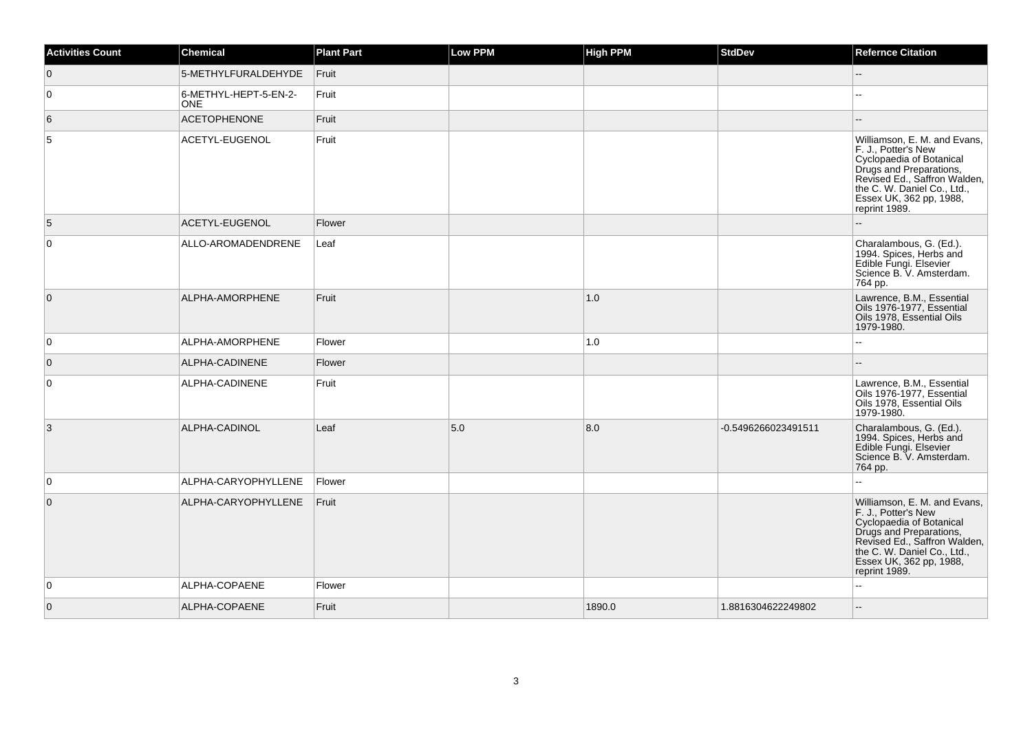| <b>Activities Count</b> | <b>Chemical</b>                     | <b>Plant Part</b> | <b>Low PPM</b> | <b>High PPM</b> | <b>StdDev</b>       | <b>Refernce Citation</b>                                                                                                                                                                                              |
|-------------------------|-------------------------------------|-------------------|----------------|-----------------|---------------------|-----------------------------------------------------------------------------------------------------------------------------------------------------------------------------------------------------------------------|
| $\overline{0}$          | 5-METHYLFURALDEHYDE                 | Fruit             |                |                 |                     | $-$                                                                                                                                                                                                                   |
| $\overline{0}$          | 6-METHYL-HEPT-5-EN-2-<br><b>ONE</b> | Fruit             |                |                 |                     |                                                                                                                                                                                                                       |
| 6                       | <b>ACETOPHENONE</b>                 | Fruit             |                |                 |                     |                                                                                                                                                                                                                       |
| 5                       | ACETYL-EUGENOL                      | Fruit             |                |                 |                     | Williamson, E. M. and Evans,<br>F. J., Potter's New<br>Cyclopaedia of Botanical<br>Drugs and Preparations,<br>Revised Ed., Saffron Walden,<br>the C. W. Daniel Co., Ltd.,<br>Essex UK, 362 pp, 1988,<br>reprint 1989. |
| 5                       | ACETYL-EUGENOL                      | Flower            |                |                 |                     |                                                                                                                                                                                                                       |
| $\overline{0}$          | ALLO-AROMADENDRENE                  | Leaf              |                |                 |                     | Charalambous, G. (Ed.).<br>1994. Spices, Herbs and<br>Edible Fungi. Elsevier<br>Science B. V. Amsterdam.<br>764 pp.                                                                                                   |
| $\overline{0}$          | ALPHA-AMORPHENE                     | Fruit             |                | 1.0             |                     | Lawrence, B.M., Essential<br>Oils 1976-1977, Essential<br>Oils 1978, Essential Oils<br>1979-1980.                                                                                                                     |
| $\overline{0}$          | ALPHA-AMORPHENE                     | Flower            |                | 1.0             |                     |                                                                                                                                                                                                                       |
| $\overline{0}$          | ALPHA-CADINENE                      | Flower            |                |                 |                     |                                                                                                                                                                                                                       |
| $\overline{0}$          | ALPHA-CADINENE                      | Fruit             |                |                 |                     | Lawrence, B.M., Essential<br>Oils 1976-1977, Essential<br>Oils 1978, Essential Oils<br>1979-1980.                                                                                                                     |
| 3                       | ALPHA-CADINOL                       | Leaf              | 5.0            | 8.0             | -0.5496266023491511 | Charalambous, G. (Ed.).<br>1994. Spices, Herbs and<br>Edible Fungi. Elsevier<br>Science B. V. Amsterdam.<br>764 pp.                                                                                                   |
| $\overline{0}$          | ALPHA-CARYOPHYLLENE                 | Flower            |                |                 |                     | u.                                                                                                                                                                                                                    |
| $\overline{0}$          | ALPHA-CARYOPHYLLENE                 | Fruit             |                |                 |                     | Williamson, E. M. and Evans,<br>F. J., Potter's New<br>Cyclopaedia of Botanical<br>Drugs and Preparations,<br>Revised Ed., Saffron Walden,<br>the C. W. Daniel Co., Ltd.,<br>Essex UK, 362 pp, 1988,<br>reprint 1989. |
| 0                       | ALPHA-COPAENE                       | Flower            |                |                 |                     |                                                                                                                                                                                                                       |
| $\overline{0}$          | ALPHA-COPAENE                       | Fruit             |                | 1890.0          | 1.8816304622249802  |                                                                                                                                                                                                                       |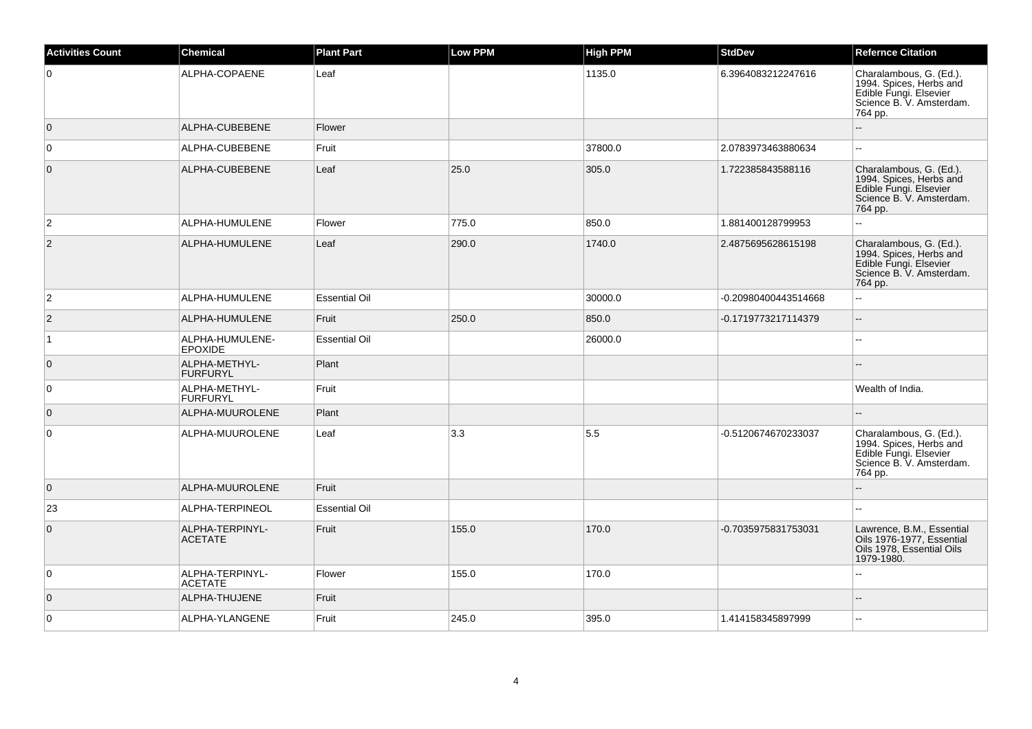| <b>Activities Count</b> | <b>Chemical</b>                   | <b>Plant Part</b>    | <b>Low PPM</b> | <b>High PPM</b> | <b>StdDev</b>        | <b>Refernce Citation</b>                                                                                            |
|-------------------------|-----------------------------------|----------------------|----------------|-----------------|----------------------|---------------------------------------------------------------------------------------------------------------------|
| $\overline{0}$          | ALPHA-COPAENE                     | Leaf                 |                | 1135.0          | 6.3964083212247616   | Charalambous, G. (Ed.).<br>1994. Spices, Herbs and<br>Edible Fungi. Elsevier<br>Science B. V. Amsterdam.<br>764 pp. |
| $\overline{0}$          | ALPHA-CUBEBENE                    | Flower               |                |                 |                      |                                                                                                                     |
| $\overline{0}$          | ALPHA-CUBEBENE                    | Fruit                |                | 37800.0         | 2.0783973463880634   | $\overline{\phantom{a}}$                                                                                            |
| $\overline{0}$          | ALPHA-CUBEBENE                    | Leaf                 | 25.0           | 305.0           | 1.722385843588116    | Charalambous, G. (Ed.).<br>1994. Spices, Herbs and<br>Edible Fungi. Elsevier<br>Science B. V. Amsterdam.<br>764 pp. |
| $\overline{2}$          | ALPHA-HUMULENE                    | Flower               | 775.0          | 850.0           | 1.881400128799953    | 44                                                                                                                  |
| $\overline{2}$          | ALPHA-HUMULENE                    | Leaf                 | 290.0          | 1740.0          | 2.4875695628615198   | Charalambous, G. (Ed.).<br>1994. Spices, Herbs and<br>Edible Fungi. Elsevier<br>Science B. V. Amsterdam.<br>764 pp. |
| $\overline{2}$          | ALPHA-HUMULENE                    | <b>Essential Oil</b> |                | 30000.0         | -0.20980400443514668 | 44                                                                                                                  |
| $ 2\rangle$             | ALPHA-HUMULENE                    | Fruit                | 250.0          | 850.0           | -0.1719773217114379  | $\overline{\phantom{a}}$                                                                                            |
| $\overline{1}$          | ALPHA-HUMULENE-<br><b>EPOXIDE</b> | <b>Essential Oil</b> |                | 26000.0         |                      | $\mathbf{u}$                                                                                                        |
| $\overline{0}$          | ALPHA-METHYL-<br><b>FURFURYL</b>  | Plant                |                |                 |                      |                                                                                                                     |
| $\overline{0}$          | ALPHA-METHYL-<br><b>FURFURYL</b>  | Fruit                |                |                 |                      | Wealth of India.                                                                                                    |
| $\overline{0}$          | ALPHA-MUUROLENE                   | Plant                |                |                 |                      |                                                                                                                     |
| $\overline{0}$          | ALPHA-MUUROLENE                   | Leaf                 | 3.3            | 5.5             | -0.5120674670233037  | Charalambous, G. (Ed.).<br>1994. Spices, Herbs and<br>Edible Fungi. Elsevier<br>Science B. V. Amsterdam.<br>764 pp. |
| $\overline{0}$          | ALPHA-MUUROLENE                   | Fruit                |                |                 |                      |                                                                                                                     |
| 23                      | ALPHA-TERPINEOL                   | <b>Essential Oil</b> |                |                 |                      | ۵.                                                                                                                  |
| $\overline{0}$          | ALPHA-TERPINYL-<br><b>ACETATE</b> | Fruit                | 155.0          | 170.0           | -0.7035975831753031  | Lawrence, B.M., Essential<br>Oils 1976-1977, Essential<br>Oils 1978, Essential Oils<br>1979-1980.                   |
| $\overline{0}$          | ALPHA-TERPINYL-<br><b>ACETATE</b> | Flower               | 155.0          | 170.0           |                      |                                                                                                                     |
| $\overline{0}$          | ALPHA-THUJENE                     | Fruit                |                |                 |                      |                                                                                                                     |
| $\overline{0}$          | ALPHA-YLANGENE                    | Fruit                | 245.0          | 395.0           | 1.414158345897999    | Щ,                                                                                                                  |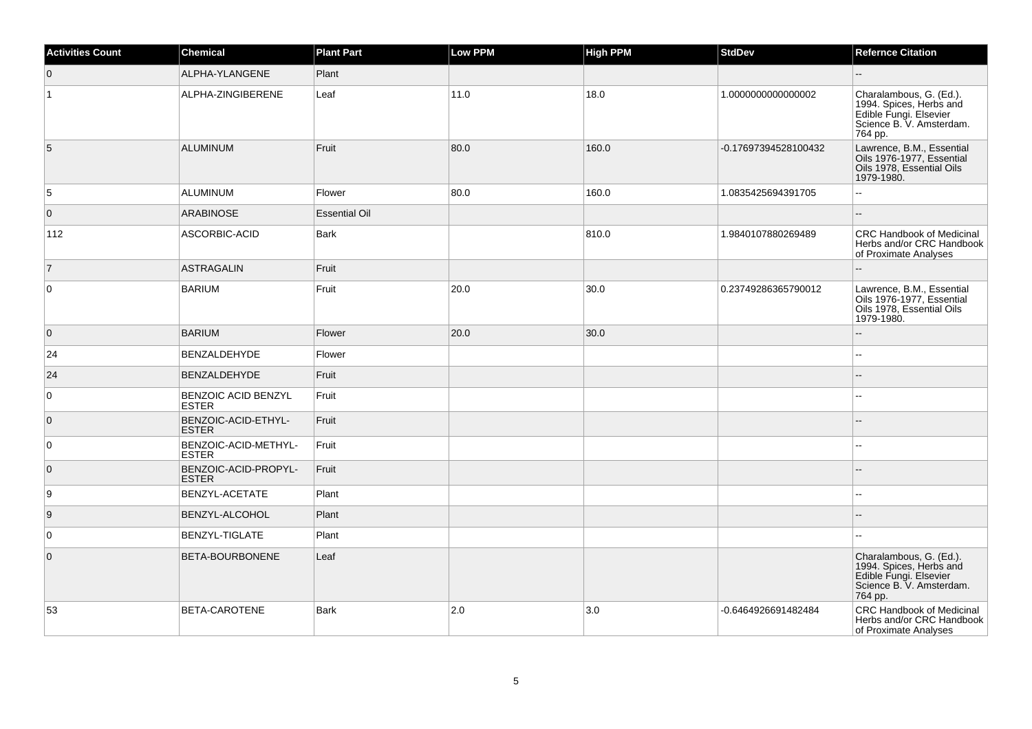| <b>Activities Count</b> | <b>Chemical</b>                            | <b>Plant Part</b>    | Low PPM | <b>High PPM</b> | <b>StdDev</b>        | <b>Refernce Citation</b>                                                                                            |
|-------------------------|--------------------------------------------|----------------------|---------|-----------------|----------------------|---------------------------------------------------------------------------------------------------------------------|
| $\overline{0}$          | ALPHA-YLANGENE                             | Plant                |         |                 |                      |                                                                                                                     |
| $\vert$ 1               | ALPHA-ZINGIBERENE                          | Leaf                 | 11.0    | 18.0            | 1.0000000000000002   | Charalambous, G. (Ed.).<br>1994. Spices, Herbs and<br>Edible Fungi. Elsevier<br>Science B. V. Amsterdam.<br>764 pp. |
| $\overline{5}$          | <b>ALUMINUM</b>                            | Fruit                | 80.0    | 160.0           | -0.17697394528100432 | Lawrence, B.M., Essential<br>Oils 1976-1977, Essential<br>Oils 1978, Essential Oils<br>1979-1980.                   |
| 5                       | ALUMINUM                                   | Flower               | 80.0    | 160.0           | 1.0835425694391705   | 44                                                                                                                  |
| $\overline{0}$          | <b>ARABINOSE</b>                           | <b>Essential Oil</b> |         |                 |                      | $-$                                                                                                                 |
| 112                     | ASCORBIC-ACID                              | Bark                 |         | 810.0           | 1.9840107880269489   | <b>CRC Handbook of Medicinal</b><br>Herbs and/or CRC Handbook<br>of Proximate Analyses                              |
| $\vert$ 7               | <b>ASTRAGALIN</b>                          | Fruit                |         |                 |                      | ۵.                                                                                                                  |
| 0                       | <b>BARIUM</b>                              | Fruit                | 20.0    | 30.0            | 0.23749286365790012  | Lawrence, B.M., Essential<br>Oils 1976-1977, Essential<br>Oils 1978, Essential Oils<br>1979-1980.                   |
| $\overline{0}$          | <b>BARIUM</b>                              | Flower               | 20.0    | 30.0            |                      | ۵.                                                                                                                  |
| 24                      | BENZALDEHYDE                               | Flower               |         |                 |                      | ۵.                                                                                                                  |
| 24                      | <b>BENZALDEHYDE</b>                        | Fruit                |         |                 |                      | $-$                                                                                                                 |
| 0                       | <b>BENZOIC ACID BENZYL</b><br><b>ESTER</b> | Fruit                |         |                 |                      | Щ,                                                                                                                  |
| $\overline{0}$          | BENZOIC-ACID-ETHYL-<br><b>ESTER</b>        | Fruit                |         |                 |                      |                                                                                                                     |
| $\overline{0}$          | BENZOIC-ACID-METHYL-<br><b>ESTER</b>       | Fruit                |         |                 |                      |                                                                                                                     |
| $\overline{0}$          | BENZOIC-ACID-PROPYL-<br><b>ESTER</b>       | Fruit                |         |                 |                      |                                                                                                                     |
| 9                       | BENZYL-ACETATE                             | Plant                |         |                 |                      |                                                                                                                     |
| 9                       | BENZYL-ALCOHOL                             | Plant                |         |                 |                      |                                                                                                                     |
| 0                       | BENZYL-TIGLATE                             | Plant                |         |                 |                      |                                                                                                                     |
| $\overline{0}$          | BETA-BOURBONENE                            | Leaf                 |         |                 |                      | Charalambous, G. (Ed.).<br>1994. Spices, Herbs and<br>Edible Fungi. Elsevier<br>Science B. V. Amsterdam.<br>764 pp. |
| 53                      | BETA-CAROTENE                              | <b>Bark</b>          | 2.0     | 3.0             | -0.6464926691482484  | <b>CRC Handbook of Medicinal</b><br>Herbs and/or CRC Handbook<br>of Proximate Analyses                              |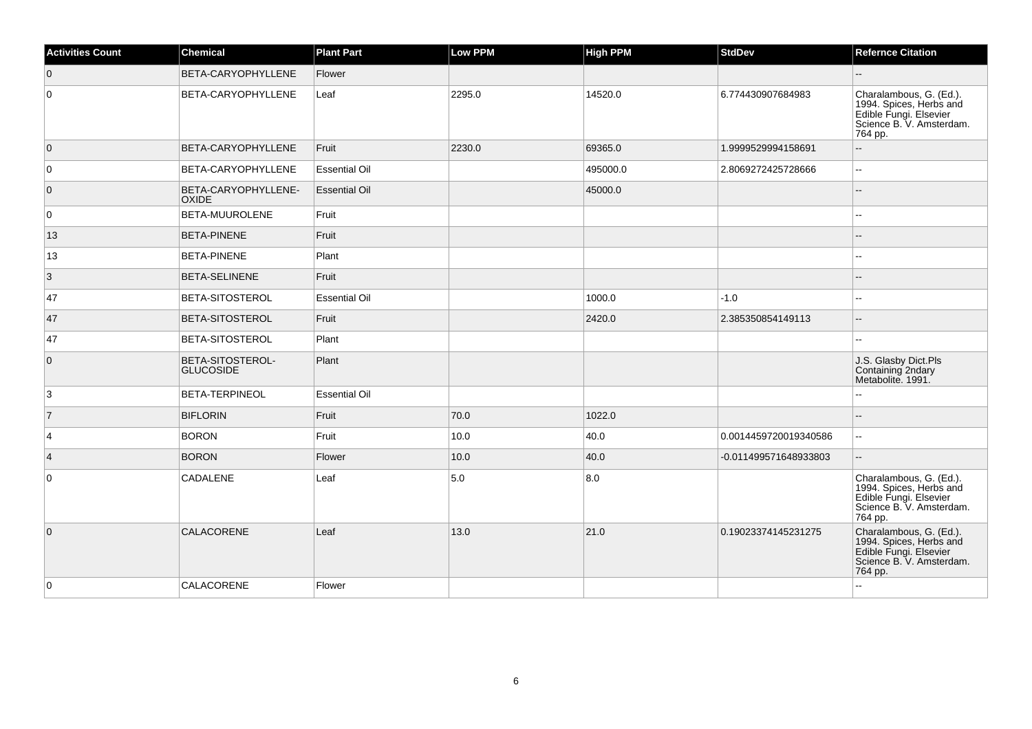| <b>Activities Count</b> | <b>Chemical</b>                      | <b>Plant Part</b>    | Low PPM | <b>High PPM</b> | <b>StdDev</b>         | <b>Refernce Citation</b>                                                                                            |
|-------------------------|--------------------------------------|----------------------|---------|-----------------|-----------------------|---------------------------------------------------------------------------------------------------------------------|
| $\overline{0}$          | BETA-CARYOPHYLLENE                   | Flower               |         |                 |                       | $-$                                                                                                                 |
| $\overline{0}$          | <b>BETA-CARYOPHYLLENE</b>            | Leaf                 | 2295.0  | 14520.0         | 6.774430907684983     | Charalambous, G. (Ed.).<br>1994. Spices, Herbs and<br>Edible Fungi. Elsevier<br>Science B. V. Amsterdam.<br>764 pp. |
| $\overline{0}$          | <b>BETA-CARYOPHYLLENE</b>            | Fruit                | 2230.0  | 69365.0         | 1.9999529994158691    | --                                                                                                                  |
| 0                       | <b>BETA-CARYOPHYLLENE</b>            | <b>Essential Oil</b> |         | 495000.0        | 2.8069272425728666    | шш.                                                                                                                 |
| $\overline{0}$          | BETA-CARYOPHYLLENE-<br>OXIDE         | <b>Essential Oil</b> |         | 45000.0         |                       | $\overline{a}$                                                                                                      |
| 0                       | BETA-MUUROLENE                       | Fruit                |         |                 |                       |                                                                                                                     |
| 13                      | <b>BETA-PINENE</b>                   | Fruit                |         |                 |                       |                                                                                                                     |
| 13                      | <b>BETA-PINENE</b>                   | Plant                |         |                 |                       | --                                                                                                                  |
| $\vert$ 3               | <b>BETA-SELINENE</b>                 | Fruit                |         |                 |                       |                                                                                                                     |
| 47                      | <b>BETA-SITOSTEROL</b>               | <b>Essential Oil</b> |         | 1000.0          | $-1.0$                | $-1$                                                                                                                |
| 47                      | <b>BETA-SITOSTEROL</b>               | Fruit                |         | 2420.0          | 2.385350854149113     | $\overline{\phantom{a}}$                                                                                            |
| 47                      | BETA-SITOSTEROL                      | Plant                |         |                 |                       | ۵.                                                                                                                  |
| $\overline{0}$          | BETA-SITOSTEROL-<br><b>GLUCOSIDE</b> | Plant                |         |                 |                       | J.S. Glasby Dict.Pls<br>Containing 2ndary<br>Metabolite. 1991.                                                      |
| 3                       | <b>BETA-TERPINEOL</b>                | <b>Essential Oil</b> |         |                 |                       | ۵.                                                                                                                  |
| $\overline{7}$          | <b>BIFLORIN</b>                      | Fruit                | 70.0    | 1022.0          |                       |                                                                                                                     |
| $\overline{4}$          | <b>BORON</b>                         | Fruit                | 10.0    | 40.0            | 0.0014459720019340586 | ц.                                                                                                                  |
| $\vert 4 \vert$         | <b>BORON</b>                         | Flower               | 10.0    | 40.0            | -0.011499571648933803 | --                                                                                                                  |
| 0                       | CADALENE                             | Leaf                 | 5.0     | 8.0             |                       | Charalambous, G. (Ed.).<br>1994. Spices, Herbs and<br>Edible Fungi. Elsevier<br>Science B. V. Amsterdam.<br>764 pp. |
| $\overline{0}$          | <b>CALACORENE</b>                    | Leaf                 | 13.0    | 21.0            | 0.19023374145231275   | Charalambous, G. (Ed.).<br>1994. Spices, Herbs and<br>Edible Fungi. Elsevier<br>Science B. V. Amsterdam.<br>764 pp. |
| $\overline{0}$          | <b>CALACORENE</b>                    | Flower               |         |                 |                       |                                                                                                                     |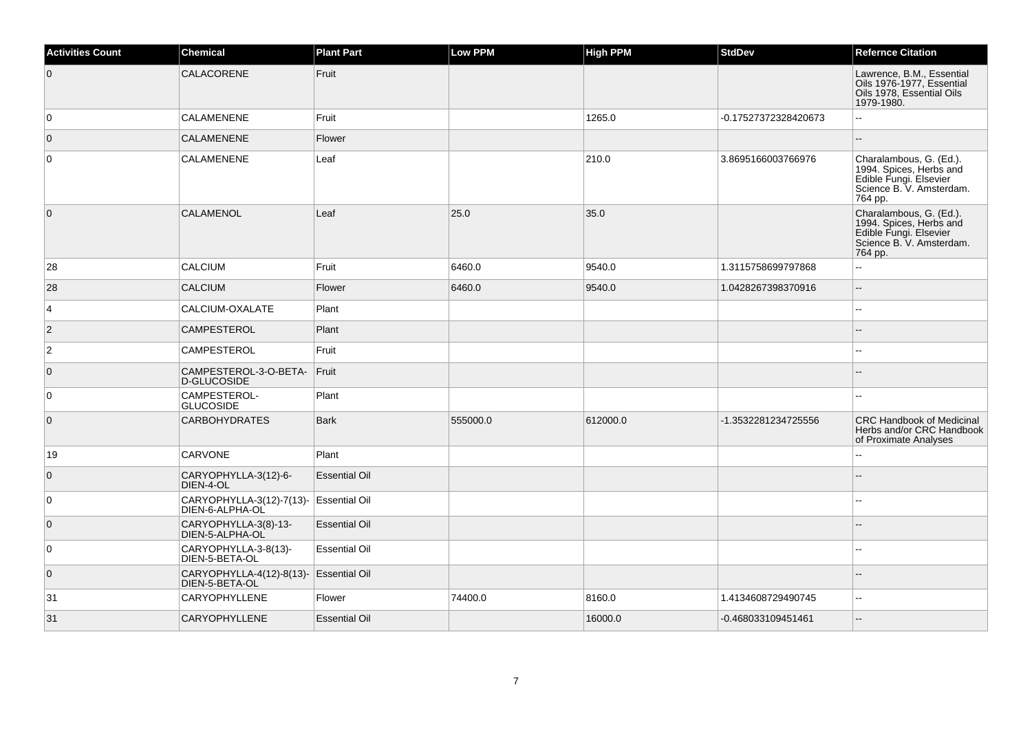| <b>Activities Count</b> | <b>Chemical</b>                             | <b>Plant Part</b>    | <b>Low PPM</b> | <b>High PPM</b> | <b>StdDev</b>        | <b>Refernce Citation</b>                                                                                            |
|-------------------------|---------------------------------------------|----------------------|----------------|-----------------|----------------------|---------------------------------------------------------------------------------------------------------------------|
| $\overline{0}$          | CALACORENE                                  | Fruit                |                |                 |                      | Lawrence, B.M., Essential<br>Oils 1976-1977, Essential<br>Oils 1978, Essential Oils<br>1979-1980.                   |
| 0                       | <b>CALAMENENE</b>                           | Fruit                |                | 1265.0          | -0.17527372328420673 | $\mathbf{L}$                                                                                                        |
| $\overline{0}$          | <b>CALAMENENE</b>                           | Flower               |                |                 |                      | $\overline{a}$                                                                                                      |
| $\overline{0}$          | <b>CALAMENENE</b>                           | Leaf                 |                | 210.0           | 3.8695166003766976   | Charalambous, G. (Ed.).<br>1994. Spices, Herbs and<br>Edible Fungi. Elsevier<br>Science B. V. Amsterdam.<br>764 pp. |
| $\overline{0}$          | <b>CALAMENOL</b>                            | Leaf                 | 25.0           | 35.0            |                      | Charalambous, G. (Ed.).<br>1994. Spices, Herbs and<br>Edible Fungi. Elsevier<br>Science B. V. Amsterdam.<br>764 pp. |
| 28                      | <b>CALCIUM</b>                              | Fruit                | 6460.0         | 9540.0          | 1.3115758699797868   |                                                                                                                     |
| 28                      | <b>CALCIUM</b>                              | Flower               | 6460.0         | 9540.0          | 1.0428267398370916   | $\overline{\phantom{a}}$                                                                                            |
| $\vert$ 4               | CALCIUM-OXALATE                             | Plant                |                |                 |                      | $\sim$                                                                                                              |
| $\vert$ 2               | <b>CAMPESTEROL</b>                          | Plant                |                |                 |                      |                                                                                                                     |
| $ 2\rangle$             | <b>CAMPESTEROL</b>                          | Fruit                |                |                 |                      | $\sim$                                                                                                              |
| $\overline{0}$          | CAMPESTEROL-3-O-BETA-<br>D-GLUCOSIDE        | Fruit                |                |                 |                      |                                                                                                                     |
| $\overline{0}$          | CAMPESTEROL-<br><b>GLUCOSIDE</b>            | Plant                |                |                 |                      |                                                                                                                     |
| $\overline{0}$          | <b>CARBOHYDRATES</b>                        | <b>Bark</b>          | 555000.0       | 612000.0        | -1.3532281234725556  | <b>CRC Handbook of Medicinal</b><br>Herbs and/or CRC Handbook<br>of Proximate Analyses                              |
| 19                      | CARVONE                                     | Plant                |                |                 |                      | $\sim$                                                                                                              |
| $\overline{0}$          | CARYOPHYLLA-3(12)-6-<br>DIEN-4-OL           | <b>Essential Oil</b> |                |                 |                      |                                                                                                                     |
| $\overline{0}$          | CARYOPHYLLA-3(12)-7(13)-<br>DIEN-6-ALPHA-OL | <b>Essential Oil</b> |                |                 |                      | $\overline{a}$                                                                                                      |
| $\overline{0}$          | CARYOPHYLLA-3(8)-13-<br>DIEN-5-ALPHA-OL     | <b>Essential Oil</b> |                |                 |                      |                                                                                                                     |
| $\overline{0}$          | CARYOPHYLLA-3-8(13)-<br>DIEN-5-BETA-OL      | <b>Essential Oil</b> |                |                 |                      | $\overline{a}$                                                                                                      |
| $\overline{0}$          | CARYOPHYLLA-4(12)-8(13)-<br>DIEN-5-BETA-OL  | <b>Essential Oil</b> |                |                 |                      | $\sim$                                                                                                              |
| 31                      | <b>CARYOPHYLLENE</b>                        | Flower               | 74400.0        | 8160.0          | 1.4134608729490745   | $\sim$                                                                                                              |
| 31                      | CARYOPHYLLENE                               | <b>Essential Oil</b> |                | 16000.0         | -0.468033109451461   | $\overline{\phantom{a}}$                                                                                            |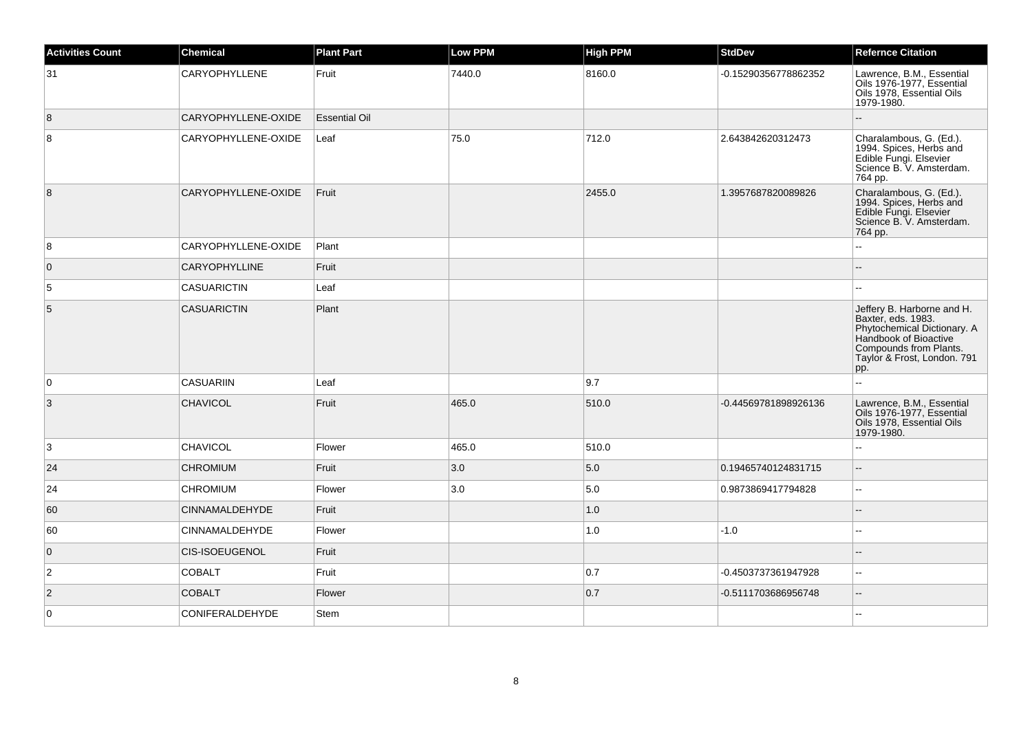| <b>Activities Count</b> | <b>Chemical</b>        | <b>Plant Part</b>    | <b>Low PPM</b> | <b>High PPM</b> | <b>StdDev</b>        | <b>Refernce Citation</b>                                                                                                                                                 |
|-------------------------|------------------------|----------------------|----------------|-----------------|----------------------|--------------------------------------------------------------------------------------------------------------------------------------------------------------------------|
| 31                      | CARYOPHYLLENE          | Fruit                | 7440.0         | 8160.0          | -0.15290356778862352 | Lawrence, B.M., Essential<br>Oils 1976-1977, Essential<br>Oils 1978, Essential Oils<br>1979-1980.                                                                        |
| 8                       | CARYOPHYLLENE-OXIDE    | <b>Essential Oil</b> |                |                 |                      |                                                                                                                                                                          |
| 8                       | CARYOPHYLLENE-OXIDE    | Leaf                 | 75.0           | 712.0           | 2.643842620312473    | Charalambous, G. (Ed.).<br>1994. Spices, Herbs and<br>Edible Fungi. Elsevier<br>Science B. V. Amsterdam.<br>764 pp.                                                      |
| 8                       | CARYOPHYLLENE-OXIDE    | Fruit                |                | 2455.0          | 1.3957687820089826   | Charalambous, G. (Ed.).<br>1994. Spices, Herbs and<br>Edible Fungi. Elsevier<br>Science B. V. Amsterdam.<br>764 pp.                                                      |
| 8                       | CARYOPHYLLENE-OXIDE    | Plant                |                |                 |                      | $\sim$                                                                                                                                                                   |
| $\overline{0}$          | <b>CARYOPHYLLINE</b>   | Fruit                |                |                 |                      |                                                                                                                                                                          |
| 5                       | <b>CASUARICTIN</b>     | Leaf                 |                |                 |                      | ä.                                                                                                                                                                       |
| 5                       | <b>CASUARICTIN</b>     | Plant                |                |                 |                      | Jeffery B. Harborne and H.<br>Baxter, eds. 1983.<br>Phytochemical Dictionary. A<br>Handbook of Bioactive<br>Compounds from Plants.<br>Taylor & Frost, London. 791<br>pp. |
| 0                       | <b>CASUARIIN</b>       | Leaf                 |                | 9.7             |                      |                                                                                                                                                                          |
| 3                       | <b>CHAVICOL</b>        | Fruit                | 465.0          | 510.0           | -0.44569781898926136 | Lawrence, B.M., Essential<br>Oils 1976-1977, Essential<br>Oils 1978, Essential Oils<br>1979-1980.                                                                        |
| 3                       | <b>CHAVICOL</b>        | Flower               | 465.0          | 510.0           |                      | $\sim$ $\sim$                                                                                                                                                            |
| 24                      | <b>CHROMIUM</b>        | Fruit                | 3.0            | 5.0             | 0.19465740124831715  | $\overline{\phantom{a}}$                                                                                                                                                 |
| 24                      | <b>CHROMIUM</b>        | Flower               | 3.0            | 5.0             | 0.9873869417794828   | $\sim$                                                                                                                                                                   |
| 60                      | <b>CINNAMALDEHYDE</b>  | Fruit                |                | 1.0             |                      | $\overline{a}$                                                                                                                                                           |
| 60                      | <b>CINNAMALDEHYDE</b>  | Flower               |                | 1.0             | $-1.0$               | $\sim$                                                                                                                                                                   |
| $\overline{0}$          | <b>CIS-ISOEUGENOL</b>  | Fruit                |                |                 |                      | $\overline{a}$                                                                                                                                                           |
| $\overline{2}$          | <b>COBALT</b>          | Fruit                |                | 0.7             | -0.4503737361947928  | $\sim$                                                                                                                                                                   |
| $\vert$ 2               | <b>COBALT</b>          | Flower               |                | 0.7             | -0.5111703686956748  | $\overline{\phantom{a}}$                                                                                                                                                 |
| 0                       | <b>CONIFERALDEHYDE</b> | Stem                 |                |                 |                      | $\sim$ $\sim$                                                                                                                                                            |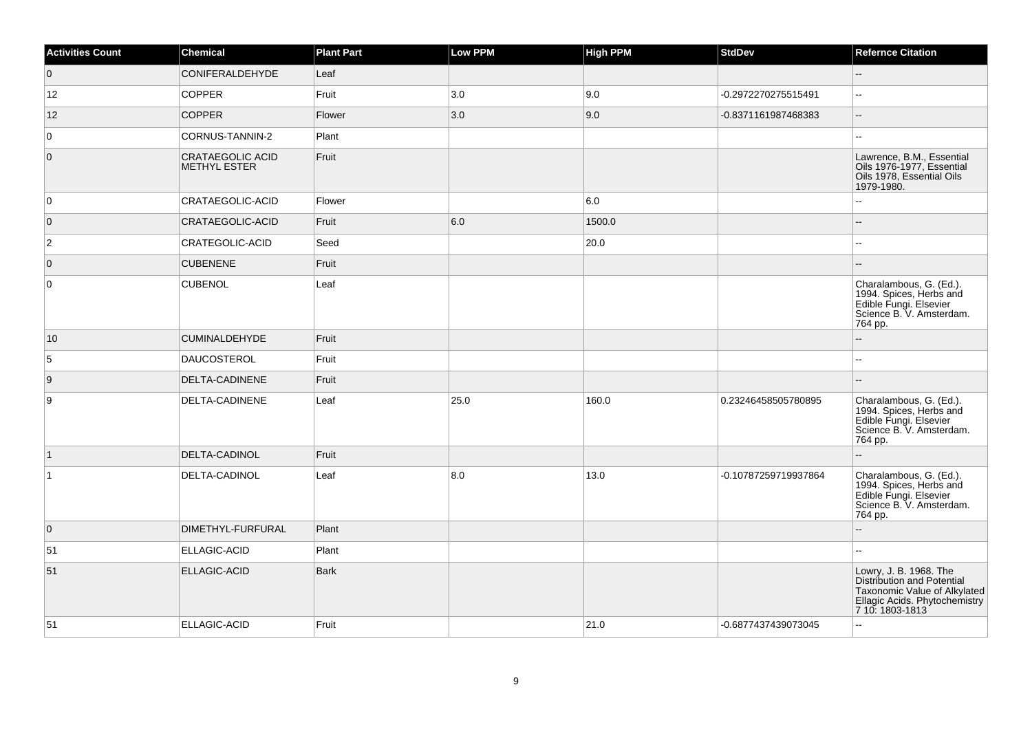| <b>Activities Count</b> | <b>Chemical</b>                                | <b>Plant Part</b> | <b>Low PPM</b> | <b>High PPM</b> | <b>StdDev</b>        | <b>Refernce Citation</b>                                                                                                                 |
|-------------------------|------------------------------------------------|-------------------|----------------|-----------------|----------------------|------------------------------------------------------------------------------------------------------------------------------------------|
| $\overline{0}$          | CONIFERALDEHYDE                                | Leaf              |                |                 |                      | ш,                                                                                                                                       |
| 12                      | <b>COPPER</b>                                  | Fruit             | 3.0            | 9.0             | -0.2972270275515491  | $\mathbf{u}$                                                                                                                             |
| 12                      | <b>COPPER</b>                                  | Flower            | 3.0            | 9.0             | -0.8371161987468383  | $\mathcal{L}_{\mathcal{L}}$                                                                                                              |
| $\overline{0}$          | CORNUS-TANNIN-2                                | Plant             |                |                 |                      | ц.                                                                                                                                       |
| $\overline{0}$          | <b>CRATAEGOLIC ACID</b><br><b>METHYL ESTER</b> | Fruit             |                |                 |                      | Lawrence, B.M., Essential<br>Oils 1976-1977, Essential<br>Oils 1978, Essential Oils<br>1979-1980.                                        |
| 0                       | CRATAEGOLIC-ACID                               | Flower            |                | 6.0             |                      | L.                                                                                                                                       |
| $\overline{0}$          | CRATAEGOLIC-ACID                               | Fruit             | 6.0            | 1500.0          |                      |                                                                                                                                          |
| $\overline{2}$          | CRATEGOLIC-ACID                                | Seed              |                | 20.0            |                      |                                                                                                                                          |
| $\overline{0}$          | <b>CUBENENE</b>                                | Fruit             |                |                 |                      |                                                                                                                                          |
| $\overline{0}$          | <b>CUBENOL</b>                                 | Leaf              |                |                 |                      | Charalambous, G. (Ed.).<br>1994. Spices, Herbs and<br>Edible Fungi. Elsevier<br>Science B. V. Amsterdam.<br>764 pp.                      |
| 10                      | <b>CUMINALDEHYDE</b>                           | Fruit             |                |                 |                      |                                                                                                                                          |
| $\overline{5}$          | <b>DAUCOSTEROL</b>                             | Fruit             |                |                 |                      | --                                                                                                                                       |
| 9                       | DELTA-CADINENE                                 | Fruit             |                |                 |                      |                                                                                                                                          |
| $\boldsymbol{9}$        | DELTA-CADINENE                                 | Leaf              | 25.0           | 160.0           | 0.23246458505780895  | Charalambous, G. (Ed.).<br>1994. Spices, Herbs and<br>Edible Fungi. Elsevier<br>Science B. V. Amsterdam.<br>764 pp.                      |
| $\vert$ 1               | DELTA-CADINOL                                  | Fruit             |                |                 |                      | н.                                                                                                                                       |
| $\vert$ 1               | DELTA-CADINOL                                  | Leaf              | 8.0            | 13.0            | -0.10787259719937864 | Charalambous, G. (Ed.).<br>1994. Spices, Herbs and<br>Edible Fungi. Elsevier<br>Science B. V. Amsterdam.<br>764 pp.                      |
| $\overline{0}$          | DIMETHYL-FURFURAL                              | Plant             |                |                 |                      |                                                                                                                                          |
| 51                      | ELLAGIC-ACID                                   | Plant             |                |                 |                      | 44                                                                                                                                       |
| 51                      | <b>ELLAGIC-ACID</b>                            | <b>Bark</b>       |                |                 |                      | Lowry, J. B. 1968. The<br>Distribution and Potential<br>Taxonomic Value of Alkylated<br>Ellagic Acids. Phytochemistry<br>7 10: 1803-1813 |
| 51                      | ELLAGIC-ACID                                   | Fruit             |                | 21.0            | -0.6877437439073045  | ۵.                                                                                                                                       |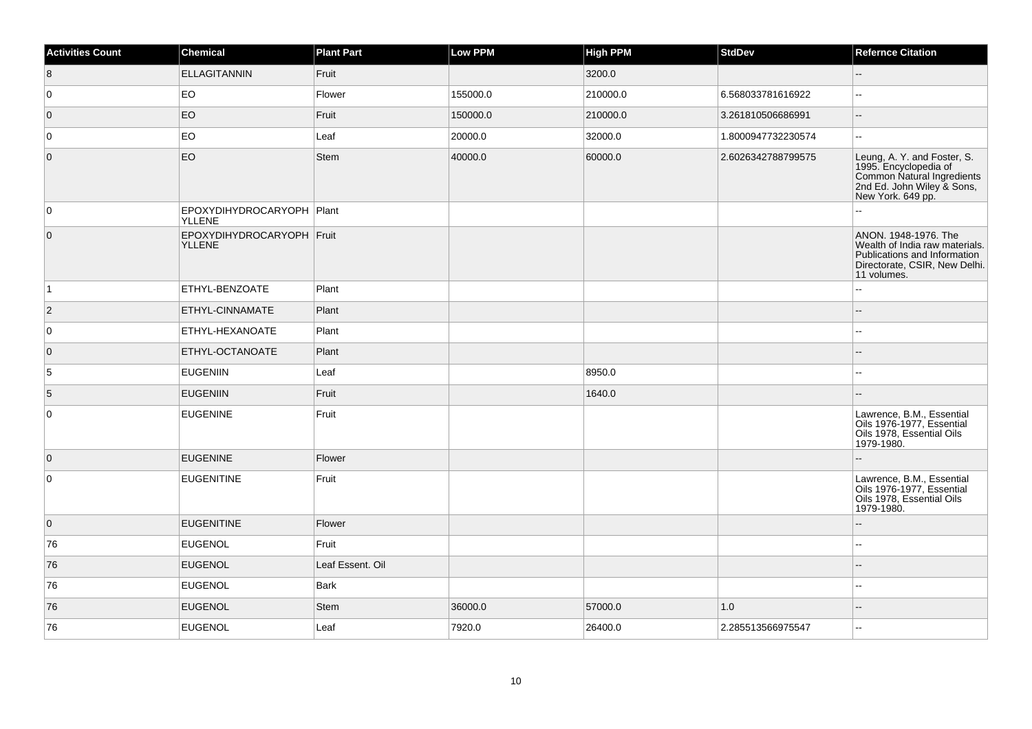| <b>Activities Count</b> | <b>Chemical</b>                              | <b>Plant Part</b> | <b>Low PPM</b> | <b>High PPM</b> | <b>StdDev</b>      | <b>Refernce Citation</b>                                                                                                               |
|-------------------------|----------------------------------------------|-------------------|----------------|-----------------|--------------------|----------------------------------------------------------------------------------------------------------------------------------------|
| 8                       | <b>ELLAGITANNIN</b>                          | Fruit             |                | 3200.0          |                    | Ξ.                                                                                                                                     |
| 0                       | EO                                           | Flower            | 155000.0       | 210000.0        | 6.568033781616922  | $\overline{\phantom{a}}$                                                                                                               |
| $\overline{0}$          | EO                                           | Fruit             | 150000.0       | 210000.0        | 3.261810506686991  | $\overline{\phantom{a}}$                                                                                                               |
| 0                       | EO                                           | Leaf              | 20000.0        | 32000.0         | 1.8000947732230574 | Ξ.                                                                                                                                     |
| $\overline{0}$          | EO                                           | <b>Stem</b>       | 40000.0        | 60000.0         | 2.6026342788799575 | Leung, A. Y. and Foster, S.<br>1995. Encyclopedia of<br>Common Natural Ingredients<br>2nd Ed. John Wiley & Sons,<br>New York. 649 pp.  |
| 0                       | EPOXYDIHYDROCARYOPH   Plant<br><b>YLLENE</b> |                   |                |                 |                    |                                                                                                                                        |
| $\overline{0}$          | EPOXYDIHYDROCARYOPH Fruit<br><b>YLLENE</b>   |                   |                |                 |                    | ANON. 1948-1976. The<br>Wealth of India raw materials.<br>Publications and Information<br>Directorate, CSIR, New Delhi.<br>11 volumes. |
| $\vert$ 1               | <b>ETHYL-BENZOATE</b>                        | Plant             |                |                 |                    | $\overline{a}$                                                                                                                         |
| $ 2\rangle$             | <b>ETHYL-CINNAMATE</b>                       | Plant             |                |                 |                    |                                                                                                                                        |
| 0                       | ETHYL-HEXANOATE                              | Plant             |                |                 |                    | $\sim$                                                                                                                                 |
| $\overline{0}$          | ETHYL-OCTANOATE                              | Plant             |                |                 |                    |                                                                                                                                        |
| 5                       | EUGENIIN                                     | Leaf              |                | 8950.0          |                    | $\overline{a}$                                                                                                                         |
| $\overline{5}$          | <b>EUGENIIN</b>                              | Fruit             |                | 1640.0          |                    | $-$                                                                                                                                    |
| $\mathbf 0$             | EUGENINE                                     | Fruit             |                |                 |                    | Lawrence, B.M., Essential<br>Oils 1976-1977, Essential<br>Oils 1978, Essential Oils<br>1979-1980.                                      |
| $\overline{0}$          | <b>EUGENINE</b>                              | Flower            |                |                 |                    | $\overline{a}$                                                                                                                         |
| $\mathbf 0$             | <b>EUGENITINE</b>                            | Fruit             |                |                 |                    | Lawrence, B.M., Essential<br>Oils 1976-1977, Essential<br>Oils 1978, Essential Oils<br>1979-1980.                                      |
| $\overline{0}$          | <b>EUGENITINE</b>                            | Flower            |                |                 |                    | $\overline{a}$                                                                                                                         |
| 76                      | <b>EUGENOL</b>                               | Fruit             |                |                 |                    |                                                                                                                                        |
| 76                      | <b>EUGENOL</b>                               | Leaf Essent. Oil  |                |                 |                    |                                                                                                                                        |
| 76                      | <b>EUGENOL</b>                               | Bark              |                |                 |                    |                                                                                                                                        |
| 76                      | <b>EUGENOL</b>                               | Stem              | 36000.0        | 57000.0         | 1.0                |                                                                                                                                        |
| 76                      | <b>EUGENOL</b>                               | Leaf              | 7920.0         | 26400.0         | 2.285513566975547  | Ξ.                                                                                                                                     |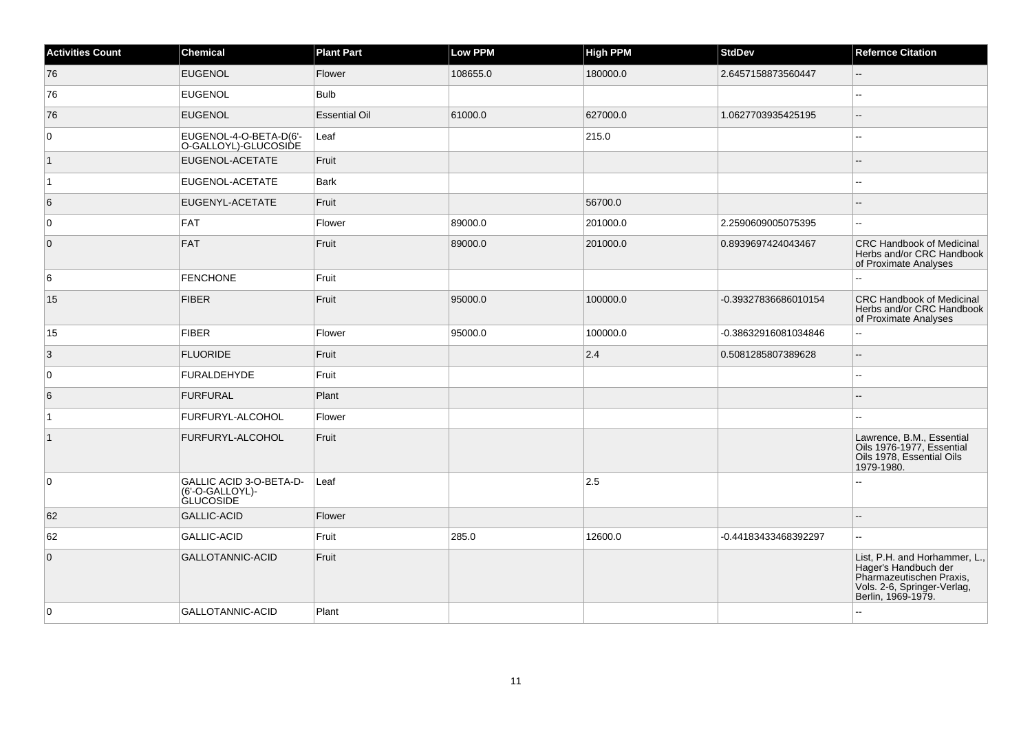| <b>Activities Count</b> | Chemical                                                              | <b>Plant Part</b>    | <b>Low PPM</b> | <b>High PPM</b> | <b>StdDev</b>        | <b>Refernce Citation</b>                                                                                                               |
|-------------------------|-----------------------------------------------------------------------|----------------------|----------------|-----------------|----------------------|----------------------------------------------------------------------------------------------------------------------------------------|
| 76                      | <b>EUGENOL</b>                                                        | Flower               | 108655.0       | 180000.0        | 2.6457158873560447   | $\overline{\phantom{a}}$                                                                                                               |
| 76                      | <b>EUGENOL</b>                                                        | <b>Bulb</b>          |                |                 |                      | $\overline{a}$                                                                                                                         |
| 76                      | <b>EUGENOL</b>                                                        | <b>Essential Oil</b> | 61000.0        | 627000.0        | 1.0627703935425195   | Ξ.                                                                                                                                     |
| 0                       | EUGENOL-4-O-BETA-D(6'-<br>O-GALLOYL)-GLUCOSIDE                        | Leaf                 |                | 215.0           |                      | ۵۵                                                                                                                                     |
| $\vert$ 1               | EUGENOL-ACETATE                                                       | Fruit                |                |                 |                      | --                                                                                                                                     |
| $\vert$ 1               | EUGENOL-ACETATE                                                       | <b>Bark</b>          |                |                 |                      | --                                                                                                                                     |
| 6                       | EUGENYL-ACETATE                                                       | Fruit                |                | 56700.0         |                      |                                                                                                                                        |
| 0                       | FAT                                                                   | Flower               | 89000.0        | 201000.0        | 2.2590609005075395   | $\overline{\phantom{a}}$                                                                                                               |
| $\overline{0}$          | FAT                                                                   | Fruit                | 89000.0        | 201000.0        | 0.8939697424043467   | <b>CRC Handbook of Medicinal</b><br>Herbs and/or CRC Handbook<br>of Proximate Analyses                                                 |
| 6                       | <b>FENCHONE</b>                                                       | Fruit                |                |                 |                      | 44                                                                                                                                     |
| 15                      | <b>FIBER</b>                                                          | Fruit                | 95000.0        | 100000.0        | -0.39327836686010154 | <b>CRC Handbook of Medicinal</b><br>Herbs and/or CRC Handbook<br>of Proximate Analyses                                                 |
| 15                      | FIBER                                                                 | Flower               | 95000.0        | 100000.0        | -0.38632916081034846 | --                                                                                                                                     |
| $\vert 3 \vert$         | <b>FLUORIDE</b>                                                       | Fruit                |                | 2.4             | 0.5081285807389628   | $\overline{a}$                                                                                                                         |
| $\mathbf 0$             | <b>FURALDEHYDE</b>                                                    | Fruit                |                |                 |                      | Ξ.                                                                                                                                     |
| 6                       | FURFURAL                                                              | Plant                |                |                 |                      |                                                                                                                                        |
| $\vert$ 1               | <b>FURFURYL-ALCOHOL</b>                                               | Flower               |                |                 |                      |                                                                                                                                        |
| $\vert$ 1               | FURFURYL-ALCOHOL                                                      | Fruit                |                |                 |                      | Lawrence, B.M., Essential<br>Oils 1976-1977, Essential<br>Oils 1978, Essential Oils<br>1979-1980.                                      |
| $\mathbf 0$             | <b>GALLIC ACID 3-O-BETA-D-</b><br>(6'-O-GALLOYL)-<br><b>GLUCOSIDE</b> | Leaf                 |                | 2.5             |                      |                                                                                                                                        |
| 62                      | GALLIC-ACID                                                           | Flower               |                |                 |                      |                                                                                                                                        |
| 62                      | <b>GALLIC-ACID</b>                                                    | Fruit                | 285.0          | 12600.0         | -0.44183433468392297 | $\overline{\phantom{a}}$                                                                                                               |
| $\mathbf 0$             | GALLOTANNIC-ACID                                                      | Fruit                |                |                 |                      | List, P.H. and Horhammer, L.,<br>Hager's Handbuch der<br>Pharmazeutischen Praxis,<br>Vols. 2-6, Springer-Verlag,<br>Berlin, 1969-1979. |
| 0                       | GALLOTANNIC-ACID                                                      | Plant                |                |                 |                      | $\overline{a}$                                                                                                                         |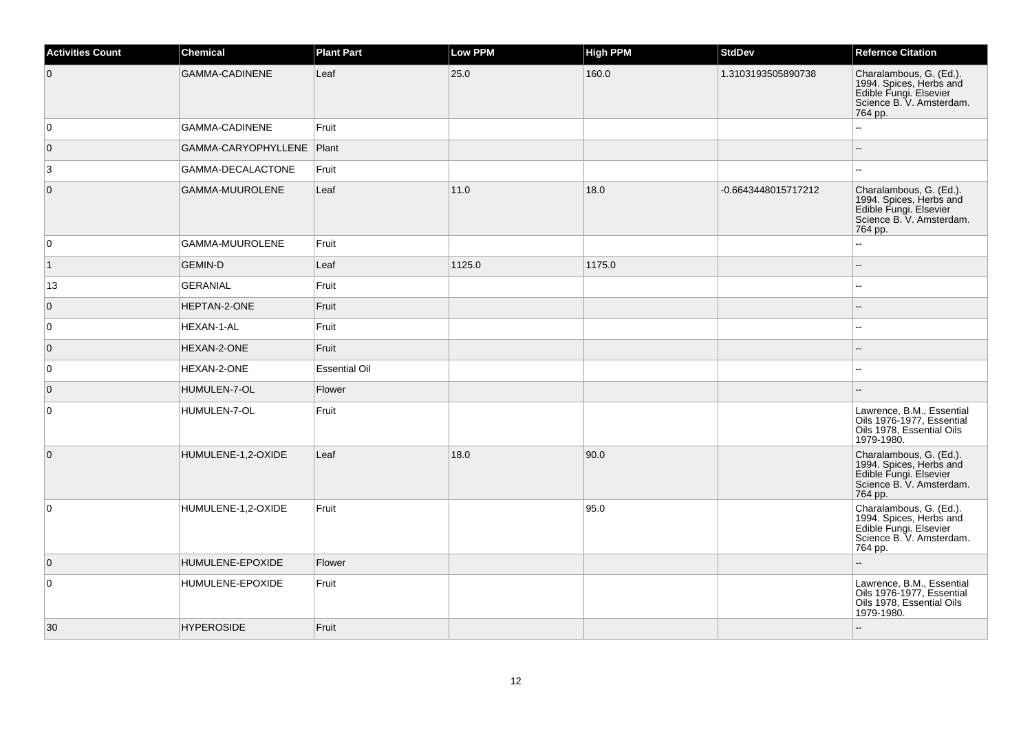| <b>Activities Count</b> | <b>Chemical</b>             | <b>Plant Part</b>    | Low PPM | <b>High PPM</b> | <b>StdDev</b>       | <b>Refernce Citation</b>                                                                                            |
|-------------------------|-----------------------------|----------------------|---------|-----------------|---------------------|---------------------------------------------------------------------------------------------------------------------|
| $\overline{0}$          | <b>GAMMA-CADINENE</b>       | Leaf                 | 25.0    | 160.0           | 1.3103193505890738  | Charalambous, G. (Ed.).<br>1994. Spices, Herbs and<br>Edible Fungi. Elsevier<br>Science B. V. Amsterdam.<br>764 pp. |
| 0                       | <b>GAMMA-CADINENE</b>       | Fruit                |         |                 |                     |                                                                                                                     |
| $\overline{0}$          | GAMMA-CARYOPHYLLENE   Plant |                      |         |                 |                     |                                                                                                                     |
| 3                       | GAMMA-DECALACTONE           | Fruit                |         |                 |                     | шш.                                                                                                                 |
| $\overline{0}$          | GAMMA-MUUROLENE             | Leaf                 | 11.0    | 18.0            | -0.6643448015717212 | Charalambous, G. (Ed.).<br>1994. Spices, Herbs and<br>Edible Fungi. Elsevier<br>Science B. V. Amsterdam.<br>764 pp. |
| 0                       | GAMMA-MUUROLENE             | Fruit                |         |                 |                     | Ц,                                                                                                                  |
| $\vert$ 1               | <b>GEMIN-D</b>              | Leaf                 | 1125.0  | 1175.0          |                     |                                                                                                                     |
| 13                      | <b>GERANIAL</b>             | Fruit                |         |                 |                     | ÷÷.                                                                                                                 |
| $\overline{0}$          | HEPTAN-2-ONE                | Fruit                |         |                 |                     | $\overline{a}$                                                                                                      |
| 0                       | HEXAN-1-AL                  | Fruit                |         |                 |                     | шш.                                                                                                                 |
| $\overline{0}$          | HEXAN-2-ONE                 | Fruit                |         |                 |                     |                                                                                                                     |
| 0                       | HEXAN-2-ONE                 | <b>Essential Oil</b> |         |                 |                     | ÷÷.                                                                                                                 |
| $\overline{0}$          | HUMULEN-7-OL                | Flower               |         |                 |                     |                                                                                                                     |
| $\overline{0}$          | HUMULEN-7-OL                | Fruit                |         |                 |                     | Lawrence, B.M., Essential<br>Oils 1976-1977, Essential<br>Oils 1978, Essential Oils<br>1979-1980.                   |
| $\overline{0}$          | HUMULENE-1,2-OXIDE          | Leaf                 | 18.0    | 90.0            |                     | Charalambous, G. (Ed.).<br>1994. Spices, Herbs and<br>Edible Fungi. Elsevier<br>Science B. V. Amsterdam.<br>764 pp. |
| 0                       | HUMULENE-1,2-OXIDE          | Fruit                |         | 95.0            |                     | Charalambous, G. (Ed.).<br>1994. Spices, Herbs and<br>Edible Fungi. Elsevier<br>Science B. V. Amsterdam.<br>764 pp. |
| $\overline{0}$          | HUMULENE-EPOXIDE            | Flower               |         |                 |                     | L.                                                                                                                  |
| $\overline{0}$          | HUMULENE-EPOXIDE            | Fruit                |         |                 |                     | Lawrence, B.M., Essential<br>Oils 1976-1977, Essential<br>Oils 1978, Essential Oils<br>1979-1980.                   |
| 30                      | <b>HYPEROSIDE</b>           | Fruit                |         |                 |                     |                                                                                                                     |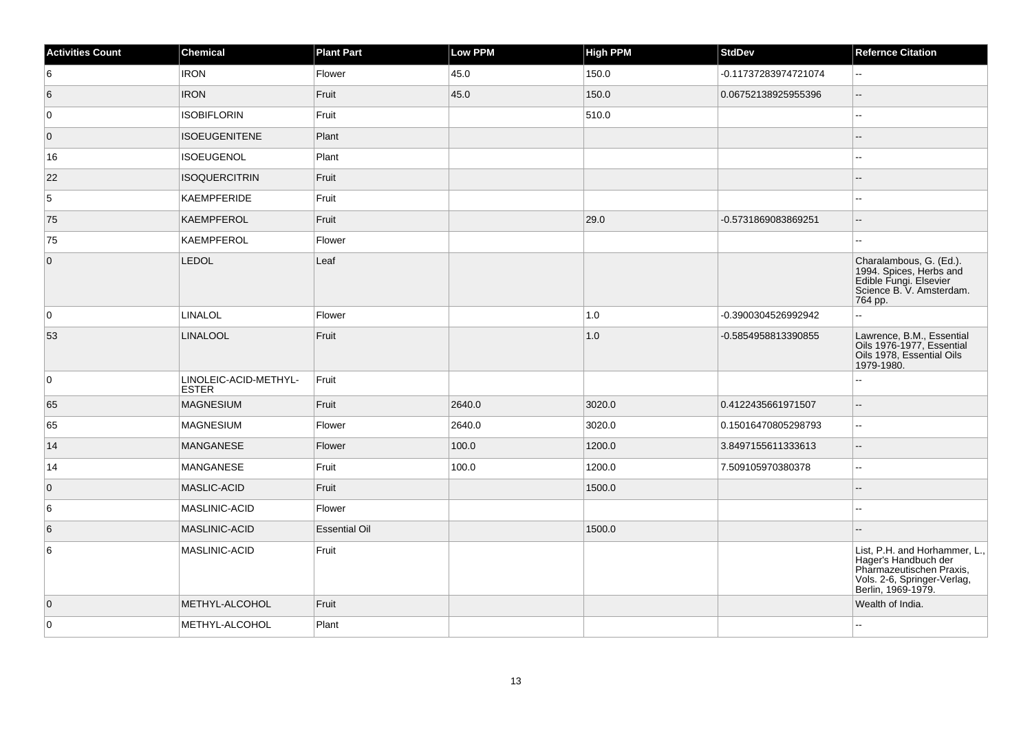| <b>Activities Count</b> | <b>Chemical</b>                       | <b>Plant Part</b>    | Low PPM | <b>High PPM</b> | <b>StdDev</b>        | <b>Refernce Citation</b>                                                                                                               |
|-------------------------|---------------------------------------|----------------------|---------|-----------------|----------------------|----------------------------------------------------------------------------------------------------------------------------------------|
| 6                       | <b>IRON</b>                           | Flower               | 45.0    | 150.0           | -0.11737283974721074 | $\sim$                                                                                                                                 |
| 6                       | <b>IRON</b>                           | Fruit                | 45.0    | 150.0           | 0.06752138925955396  | Щ.                                                                                                                                     |
| 0                       | <b>ISOBIFLORIN</b>                    | Fruit                |         | 510.0           |                      | 4                                                                                                                                      |
| $\overline{0}$          | <b>ISOEUGENITENE</b>                  | Plant                |         |                 |                      |                                                                                                                                        |
| 16                      | <b>ISOEUGENOL</b>                     | Plant                |         |                 |                      | $\overline{a}$                                                                                                                         |
| 22                      | <b>ISOQUERCITRIN</b>                  | Fruit                |         |                 |                      |                                                                                                                                        |
| 5                       | KAEMPFERIDE                           | Fruit                |         |                 |                      | ۵۵                                                                                                                                     |
| 75                      | <b>KAEMPFEROL</b>                     | Fruit                |         | 29.0            | -0.5731869083869251  | $\overline{\phantom{a}}$                                                                                                               |
| 75                      | KAEMPFEROL                            | Flower               |         |                 |                      |                                                                                                                                        |
| $\overline{0}$          | LEDOL                                 | Leaf                 |         |                 |                      | Charalambous, G. (Ed.).<br>1994. Spices, Herbs and<br>Edible Fungi. Elsevier<br>Science B. V. Amsterdam.<br>764 pp.                    |
| 0                       | <b>LINALOL</b>                        | Flower               |         | 1.0             | -0.3900304526992942  | $\overline{a}$                                                                                                                         |
| 53                      | <b>LINALOOL</b>                       | Fruit                |         | 1.0             | -0.5854958813390855  | Lawrence, B.M., Essential<br>Oils 1976-1977, Essential<br>Oils 1978, Essential Oils<br>1979-1980.                                      |
| 0                       | LINOLEIC-ACID-METHYL-<br><b>ESTER</b> | Fruit                |         |                 |                      |                                                                                                                                        |
| 65                      | <b>MAGNESIUM</b>                      | Fruit                | 2640.0  | 3020.0          | 0.4122435661971507   | $\overline{a}$                                                                                                                         |
| 65                      | <b>MAGNESIUM</b>                      | Flower               | 2640.0  | 3020.0          | 0.15016470805298793  | $\mathbf{u}$                                                                                                                           |
| 14                      | <b>MANGANESE</b>                      | Flower               | 100.0   | 1200.0          | 3.8497155611333613   | $=$                                                                                                                                    |
| 14                      | <b>MANGANESE</b>                      | Fruit                | 100.0   | 1200.0          | 7.509105970380378    | 44                                                                                                                                     |
| $\overline{0}$          | <b>MASLIC-ACID</b>                    | Fruit                |         | 1500.0          |                      | --                                                                                                                                     |
| 6                       | MASLINIC-ACID                         | Flower               |         |                 |                      | L.                                                                                                                                     |
| 6                       | MASLINIC-ACID                         | <b>Essential Oil</b> |         | 1500.0          |                      |                                                                                                                                        |
| 6                       | MASLINIC-ACID                         | Fruit                |         |                 |                      | List, P.H. and Horhammer, L.,<br>Hager's Handbuch der<br>Pharmazeutischen Praxis,<br>Vols. 2-6, Springer-Verlag,<br>Berlin, 1969-1979. |
| $\overline{0}$          | METHYL-ALCOHOL                        | Fruit                |         |                 |                      | Wealth of India.                                                                                                                       |
| 0                       | METHYL-ALCOHOL                        | Plant                |         |                 |                      | ц,                                                                                                                                     |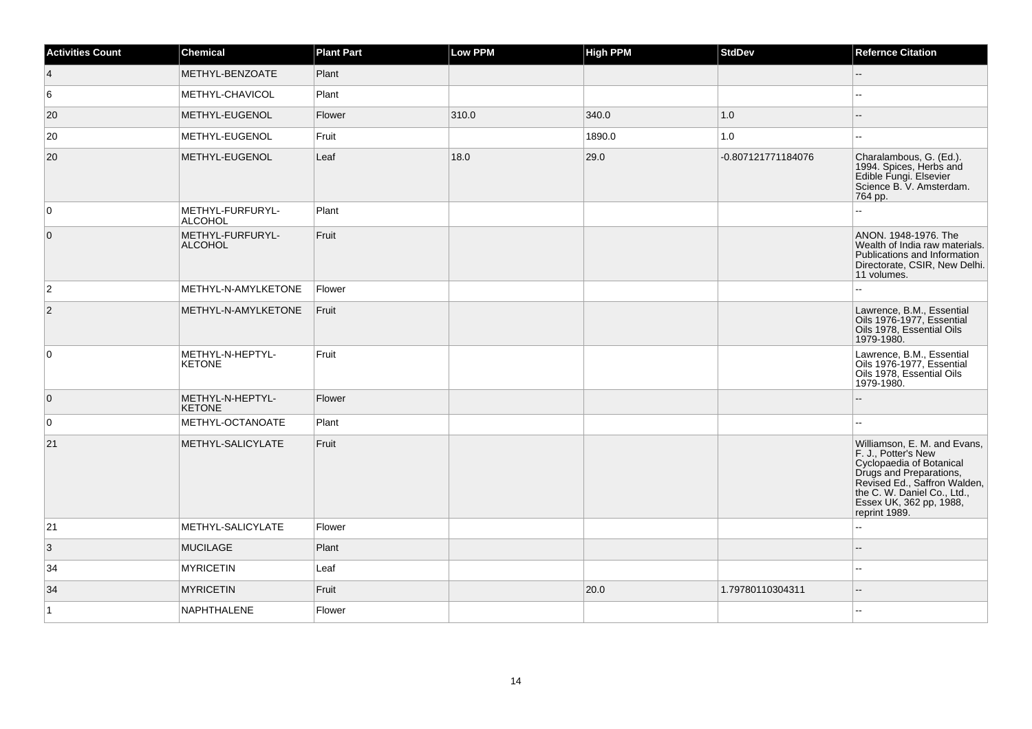| <b>Activities Count</b> | <b>Chemical</b>                    | <b>Plant Part</b> | Low PPM | <b>High PPM</b> | <b>StdDev</b>      | <b>Refernce Citation</b>                                                                                                                                                                                              |
|-------------------------|------------------------------------|-------------------|---------|-----------------|--------------------|-----------------------------------------------------------------------------------------------------------------------------------------------------------------------------------------------------------------------|
| $\vert 4 \vert$         | METHYL-BENZOATE                    | Plant             |         |                 |                    | Ξ.                                                                                                                                                                                                                    |
| 6                       | METHYL-CHAVICOL                    | Plant             |         |                 |                    | $\overline{a}$                                                                                                                                                                                                        |
| 20                      | METHYL-EUGENOL                     | Flower            | 310.0   | 340.0           | 1.0                |                                                                                                                                                                                                                       |
| 20                      | METHYL-EUGENOL                     | Fruit             |         | 1890.0          | 1.0                | $\overline{a}$                                                                                                                                                                                                        |
| 20                      | METHYL-EUGENOL                     | Leaf              | 18.0    | 29.0            | -0.807121771184076 | Charalambous, G. (Ed.).<br>1994. Spices, Herbs and<br>Edible Fungi. Elsevier<br>Science B. V. Amsterdam.<br>764 pp.                                                                                                   |
| 0                       | METHYL-FURFURYL-<br><b>ALCOHOL</b> | Plant             |         |                 |                    |                                                                                                                                                                                                                       |
| $\overline{0}$          | METHYL-FURFURYL-<br><b>ALCOHOL</b> | Fruit             |         |                 |                    | ANON. 1948-1976. The<br>Wealth of India raw materials.<br>Publications and Information<br>Directorate, CSIR, New Delhi.<br>11 volumes.                                                                                |
| $\vert$ 2               | METHYL-N-AMYLKETONE                | Flower            |         |                 |                    |                                                                                                                                                                                                                       |
| $\overline{2}$          | METHYL-N-AMYLKETONE                | Fruit             |         |                 |                    | Lawrence, B.M., Essential<br>Oils 1976-1977, Essential<br>Oils 1978, Essential Oils<br>1979-1980.                                                                                                                     |
| $\overline{0}$          | METHYL-N-HEPTYL-<br><b>KETONE</b>  | Fruit             |         |                 |                    | Lawrence, B.M., Essential<br>Oils 1976-1977, Essential<br>Oils 1978, Essential Oils<br>1979-1980.                                                                                                                     |
| $\overline{0}$          | METHYL-N-HEPTYL-<br><b>KETONE</b>  | Flower            |         |                 |                    |                                                                                                                                                                                                                       |
| $\overline{0}$          | METHYL-OCTANOATE                   | Plant             |         |                 |                    |                                                                                                                                                                                                                       |
| 21                      | METHYL-SALICYLATE                  | Fruit             |         |                 |                    | Williamson, E. M. and Evans,<br>F. J., Potter's New<br>Cyclopaedia of Botanical<br>Drugs and Preparations,<br>Revised Ed., Saffron Walden,<br>the C. W. Daniel Co., Ltd.,<br>Essex UK, 362 pp, 1988,<br>reprint 1989. |
| 21                      | METHYL-SALICYLATE                  | Flower            |         |                 |                    |                                                                                                                                                                                                                       |
| 3                       | <b>MUCILAGE</b>                    | Plant             |         |                 |                    |                                                                                                                                                                                                                       |
| 34                      | <b>MYRICETIN</b>                   | Leaf              |         |                 |                    | --                                                                                                                                                                                                                    |
| 34                      | <b>MYRICETIN</b>                   | Fruit             |         | 20.0            | 1.79780110304311   | $-$                                                                                                                                                                                                                   |
| $\vert$ 1               | NAPHTHALENE                        | Flower            |         |                 |                    | --                                                                                                                                                                                                                    |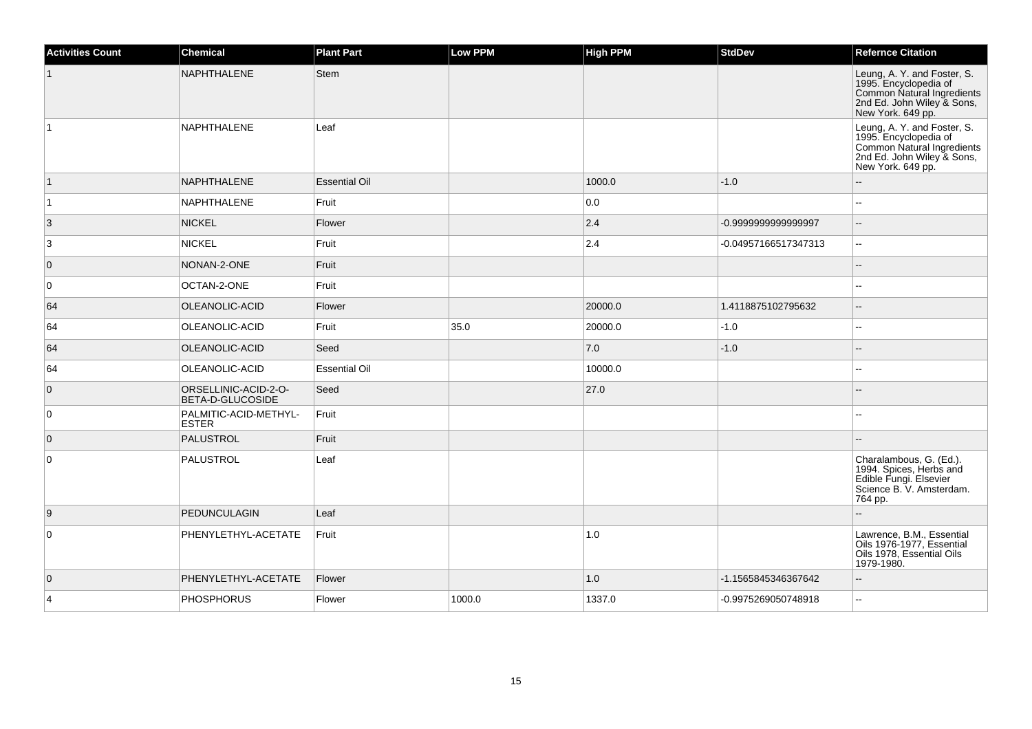| <b>Activities Count</b> | <b>Chemical</b>                          | <b>Plant Part</b>    | <b>Low PPM</b> | <b>High PPM</b> | <b>StdDev</b>        | <b>Refernce Citation</b>                                                                                                              |
|-------------------------|------------------------------------------|----------------------|----------------|-----------------|----------------------|---------------------------------------------------------------------------------------------------------------------------------------|
|                         | <b>NAPHTHALENE</b>                       | <b>Stem</b>          |                |                 |                      | Leung, A. Y. and Foster, S.<br>1995. Encyclopedia of<br>Common Natural Ingredients<br>2nd Ed. John Wiley & Sons,<br>New York. 649 pp. |
| $\overline{1}$          | <b>NAPHTHALENE</b>                       | Leaf                 |                |                 |                      | Leung, A. Y. and Foster, S.<br>1995. Encyclopedia of<br>Common Natural Ingredients<br>2nd Ed. John Wiley & Sons,<br>New York. 649 pp. |
| $\vert$ 1               | <b>NAPHTHALENE</b>                       | <b>Essential Oil</b> |                | 1000.0          | $-1.0$               | $-$                                                                                                                                   |
| $\vert$ 1               | NAPHTHALENE                              | Fruit                |                | 0.0             |                      |                                                                                                                                       |
| 3                       | <b>NICKEL</b>                            | Flower               |                | 2.4             | -0.999999999999997   |                                                                                                                                       |
| 3                       | <b>NICKEL</b>                            | Fruit                |                | 2.4             | -0.04957166517347313 | $\overline{a}$                                                                                                                        |
| $\overline{0}$          | NONAN-2-ONE                              | Fruit                |                |                 |                      |                                                                                                                                       |
| $\overline{0}$          | OCTAN-2-ONE                              | Fruit                |                |                 |                      |                                                                                                                                       |
| 64                      | OLEANOLIC-ACID                           | Flower               |                | 20000.0         | 1.4118875102795632   |                                                                                                                                       |
| 64                      | OLEANOLIC-ACID                           | Fruit                | 35.0           | 20000.0         | $-1.0$               | $-$                                                                                                                                   |
| 64                      | OLEANOLIC-ACID                           | Seed                 |                | 7.0             | $-1.0$               | $-$                                                                                                                                   |
| 64                      | OLEANOLIC-ACID                           | <b>Essential Oil</b> |                | 10000.0         |                      |                                                                                                                                       |
| $\overline{0}$          | ORSELLINIC-ACID-2-O-<br>BETA-D-GLUCOSIDE | Seed                 |                | 27.0            |                      |                                                                                                                                       |
| $\overline{0}$          | PALMITIC-ACID-METHYL-<br><b>ESTER</b>    | Fruit                |                |                 |                      |                                                                                                                                       |
| $\overline{0}$          | <b>PALUSTROL</b>                         | Fruit                |                |                 |                      |                                                                                                                                       |
| $\overline{0}$          | PALUSTROL                                | Leaf                 |                |                 |                      | Charalambous, G. (Ed.).<br>1994. Spices, Herbs and<br>Edible Fungi. Elsevier<br>Science B. V. Amsterdam.<br>764 pp.                   |
| 9                       | <b>PEDUNCULAGIN</b>                      | Leaf                 |                |                 |                      | $-$                                                                                                                                   |
| $\overline{0}$          | PHENYLETHYL-ACETATE                      | Fruit                |                | 1.0             |                      | Lawrence, B.M., Essential<br>Oils 1976-1977, Essential<br>Oils 1978, Essential Oils<br>1979-1980.                                     |
| $\overline{0}$          | PHENYLETHYL-ACETATE                      | Flower               |                | 1.0             | -1.1565845346367642  | $-$                                                                                                                                   |
| $\overline{4}$          | <b>PHOSPHORUS</b>                        | Flower               | 1000.0         | 1337.0          | -0.9975269050748918  | $-$                                                                                                                                   |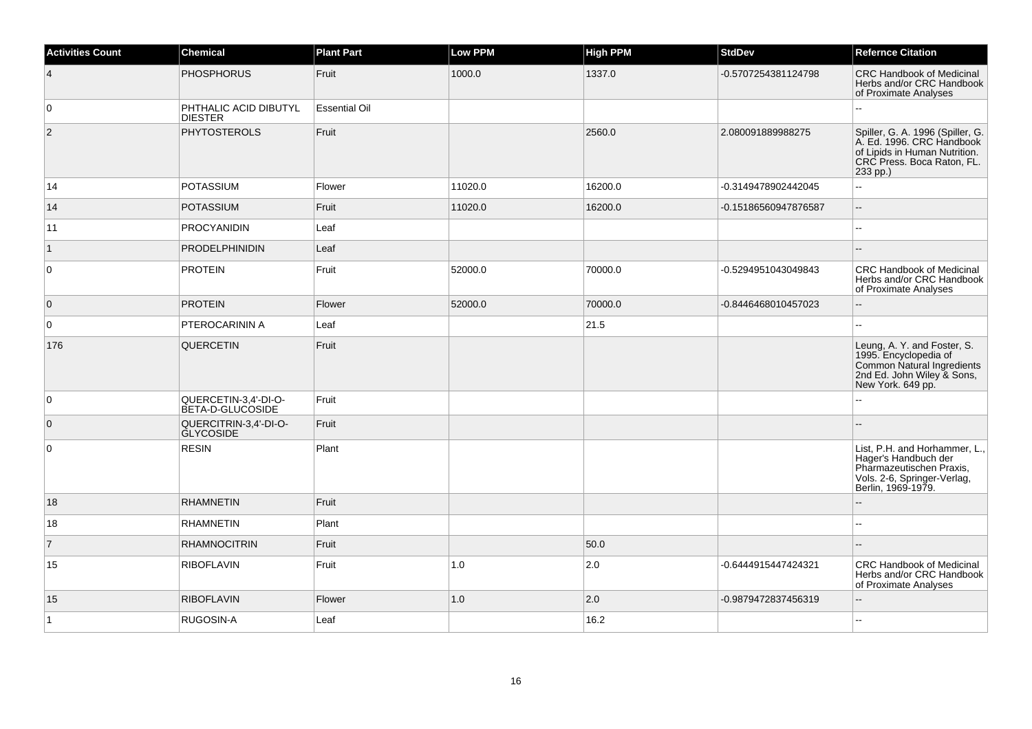| <b>Activities Count</b> | <b>Chemical</b>                          | <b>Plant Part</b>    | <b>Low PPM</b> | <b>High PPM</b> | <b>StdDev</b>        | <b>Refernce Citation</b>                                                                                                                 |
|-------------------------|------------------------------------------|----------------------|----------------|-----------------|----------------------|------------------------------------------------------------------------------------------------------------------------------------------|
| $\overline{4}$          | <b>PHOSPHORUS</b>                        | Fruit                | 1000.0         | 1337.0          | -0.5707254381124798  | CRC Handbook of Medicinal<br>Herbs and/or CRC Handbook<br>of Proximate Analyses                                                          |
| $\mathbf 0$             | PHTHALIC ACID DIBUTYL<br><b>DIESTER</b>  | <b>Essential Oil</b> |                |                 |                      |                                                                                                                                          |
| 2                       | <b>PHYTOSTEROLS</b>                      | Fruit                |                | 2560.0          | 2.080091889988275    | Spiller, G. A. 1996 (Spiller, G.<br>A. Ed. 1996. CRC Handbook<br>of Lipids in Human Nutrition.<br>CRC Press. Boca Raton, FL.<br>233 pp.) |
| 14                      | <b>POTASSIUM</b>                         | Flower               | 11020.0        | 16200.0         | -0.3149478902442045  | Ξ.                                                                                                                                       |
| 14                      | <b>POTASSIUM</b>                         | Fruit                | 11020.0        | 16200.0         | -0.15186560947876587 | $-$                                                                                                                                      |
| 11                      | <b>PROCYANIDIN</b>                       | Leaf                 |                |                 |                      |                                                                                                                                          |
| $\vert$ 1               | <b>PRODELPHINIDIN</b>                    | Leaf                 |                |                 |                      | $\sim$                                                                                                                                   |
| $\mathbf 0$             | <b>PROTEIN</b>                           | Fruit                | 52000.0        | 70000.0         | -0.5294951043049843  | CRC Handbook of Medicinal<br>Herbs and/or CRC Handbook<br>of Proximate Analyses                                                          |
| $\mathbf 0$             | <b>PROTEIN</b>                           | Flower               | 52000.0        | 70000.0         | -0.8446468010457023  | Ξ.                                                                                                                                       |
| $\mathbf 0$             | PTEROCARININ A                           | Leaf                 |                | 21.5            |                      |                                                                                                                                          |
| 176                     | <b>QUERCETIN</b>                         | Fruit                |                |                 |                      | Leung, A. Y. and Foster, S.<br>1995. Encyclopedia of<br>Common Natural Ingredients<br>2nd Ed. John Wiley & Sons,<br>New York. 649 pp.    |
| $\mathbf 0$             | QUERCETIN-3,4'-DI-O-<br>BETA-D-GLUCOSIDE | Fruit                |                |                 |                      |                                                                                                                                          |
| $\mathbf{0}$            | QUERCITRIN-3,4'-DI-O-<br>GLYCOSIDE       | Fruit                |                |                 |                      |                                                                                                                                          |
| 0                       | <b>RESIN</b>                             | Plant                |                |                 |                      | List, P.H. and Horhammer, L.,<br>Hager's Handbuch der<br>Pharmazeutischen Praxis,<br>Vols. 2-6, Springer-Verlag,<br>Berlin, 1969-1979.   |
| 18                      | <b>RHAMNETIN</b>                         | Fruit                |                |                 |                      | --                                                                                                                                       |
| 18                      | <b>RHAMNETIN</b>                         | Plant                |                |                 |                      | $\overline{a}$                                                                                                                           |
| $\overline{7}$          | <b>RHAMNOCITRIN</b>                      | Fruit                |                | 50.0            |                      |                                                                                                                                          |
| 15                      | <b>RIBOFLAVIN</b>                        | Fruit                | 1.0            | 2.0             | -0.6444915447424321  | <b>CRC Handbook of Medicinal</b><br>Herbs and/or CRC Handbook<br>of Proximate Analyses                                                   |
| 15                      | <b>RIBOFLAVIN</b>                        | Flower               | 1.0            | 2.0             | -0.9879472837456319  | ш,                                                                                                                                       |
| $\vert$ 1               | RUGOSIN-A                                | Leaf                 |                | 16.2            |                      | 44                                                                                                                                       |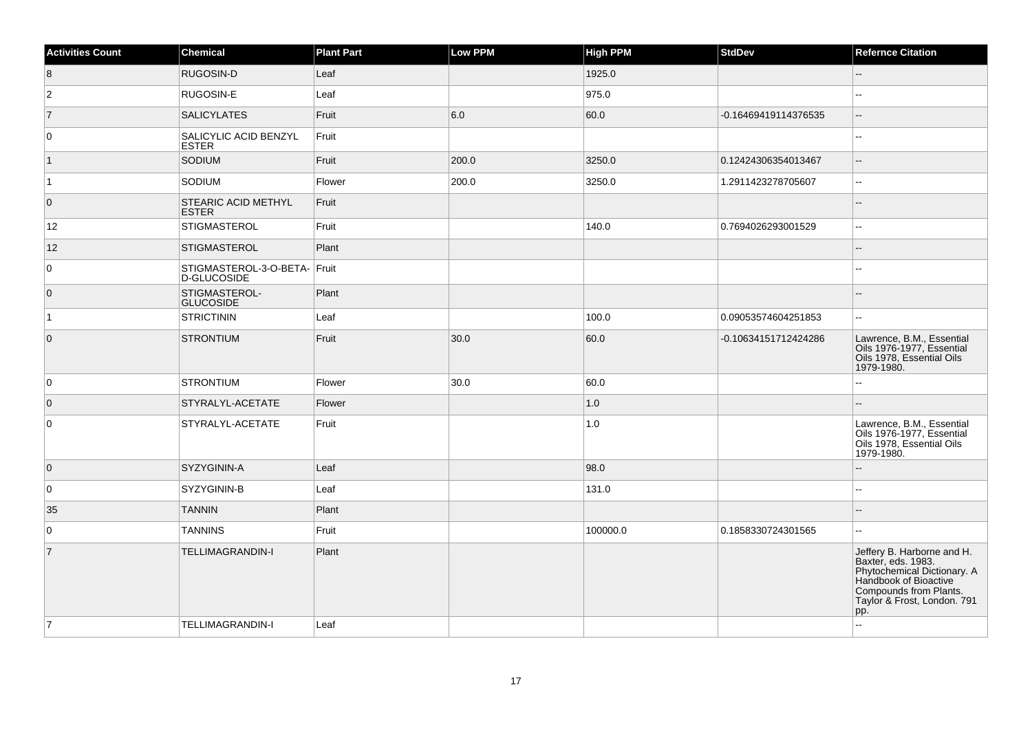| <b>Activities Count</b> | <b>Chemical</b>                             | <b>Plant Part</b> | Low PPM | <b>High PPM</b> | <b>StdDev</b>        | <b>Refernce Citation</b>                                                                                                                                                 |
|-------------------------|---------------------------------------------|-------------------|---------|-----------------|----------------------|--------------------------------------------------------------------------------------------------------------------------------------------------------------------------|
| 8                       | RUGOSIN-D                                   | Leaf              |         | 1925.0          |                      | $\overline{\phantom{a}}$                                                                                                                                                 |
| $\overline{2}$          | <b>RUGOSIN-E</b>                            | Leaf              |         | 975.0           |                      | Ξ.                                                                                                                                                                       |
| $\vert$ 7               | <b>SALICYLATES</b>                          | Fruit             | 6.0     | 60.0            | -0.16469419114376535 | --                                                                                                                                                                       |
| 0                       | SALICYLIC ACID BENZYL<br><b>ESTER</b>       | Fruit             |         |                 |                      |                                                                                                                                                                          |
| $\vert$ 1               | SODIUM                                      | Fruit             | 200.0   | 3250.0          | 0.12424306354013467  | --                                                                                                                                                                       |
| $\vert$ 1               | SODIUM                                      | Flower            | 200.0   | 3250.0          | 1.2911423278705607   | 44                                                                                                                                                                       |
| $\overline{0}$          | <b>STEARIC ACID METHYL</b><br><b>ESTER</b>  | Fruit             |         |                 |                      | $\overline{\phantom{a}}$                                                                                                                                                 |
| 12 <sup>°</sup>         | <b>STIGMASTEROL</b>                         | Fruit             |         | 140.0           | 0.7694026293001529   | --                                                                                                                                                                       |
| $12$                    | <b>STIGMASTEROL</b>                         | Plant             |         |                 |                      |                                                                                                                                                                          |
| 0                       | STIGMASTEROL-3-O-BETA- Fruit<br>D-GLUCOSIDE |                   |         |                 |                      |                                                                                                                                                                          |
| $\overline{0}$          | STIGMASTEROL-<br><b>GLUCOSIDE</b>           | Plant             |         |                 |                      |                                                                                                                                                                          |
| $\vert$ 1               | STRICTININ                                  | Leaf              |         | 100.0           | 0.09053574604251853  | $\overline{a}$                                                                                                                                                           |
| $\overline{0}$          | <b>STRONTIUM</b>                            | Fruit             | 30.0    | 60.0            | -0.10634151712424286 | Lawrence, B.M., Essential<br>Oils 1976-1977, Essential<br>Oils 1978, Essential Oils<br>1979-1980.                                                                        |
| 0                       | <b>STRONTIUM</b>                            | Flower            | 30.0    | 60.0            |                      |                                                                                                                                                                          |
| $\overline{0}$          | STYRALYL-ACETATE                            | Flower            |         | 1.0             |                      |                                                                                                                                                                          |
| $\mathbf 0$             | STYRALYL-ACETATE                            | Fruit             |         | 1.0             |                      | Lawrence, B.M., Essential<br>Oils 1976-1977, Essential<br>Oils 1978, Essential Oils<br>1979-1980.                                                                        |
| $\overline{0}$          | <b>SYZYGININ-A</b>                          | Leaf              |         | 98.0            |                      |                                                                                                                                                                          |
| 0                       | SYZYGININ-B                                 | Leaf              |         | 131.0           |                      |                                                                                                                                                                          |
| 35                      | <b>TANNIN</b>                               | Plant             |         |                 |                      |                                                                                                                                                                          |
| $\mathbf 0$             | <b>TANNINS</b>                              | Fruit             |         | 100000.0        | 0.1858330724301565   | --                                                                                                                                                                       |
| $\overline{7}$          | <b>TELLIMAGRANDIN-I</b>                     | Plant             |         |                 |                      | Jeffery B. Harborne and H.<br>Baxter, eds. 1983.<br>Phytochemical Dictionary. A<br>Handbook of Bioactive<br>Compounds from Plants.<br>Taylor & Frost, London. 791<br>pp. |
| 7                       | TELLIMAGRANDIN-I                            | Leaf              |         |                 |                      | Ξ.                                                                                                                                                                       |